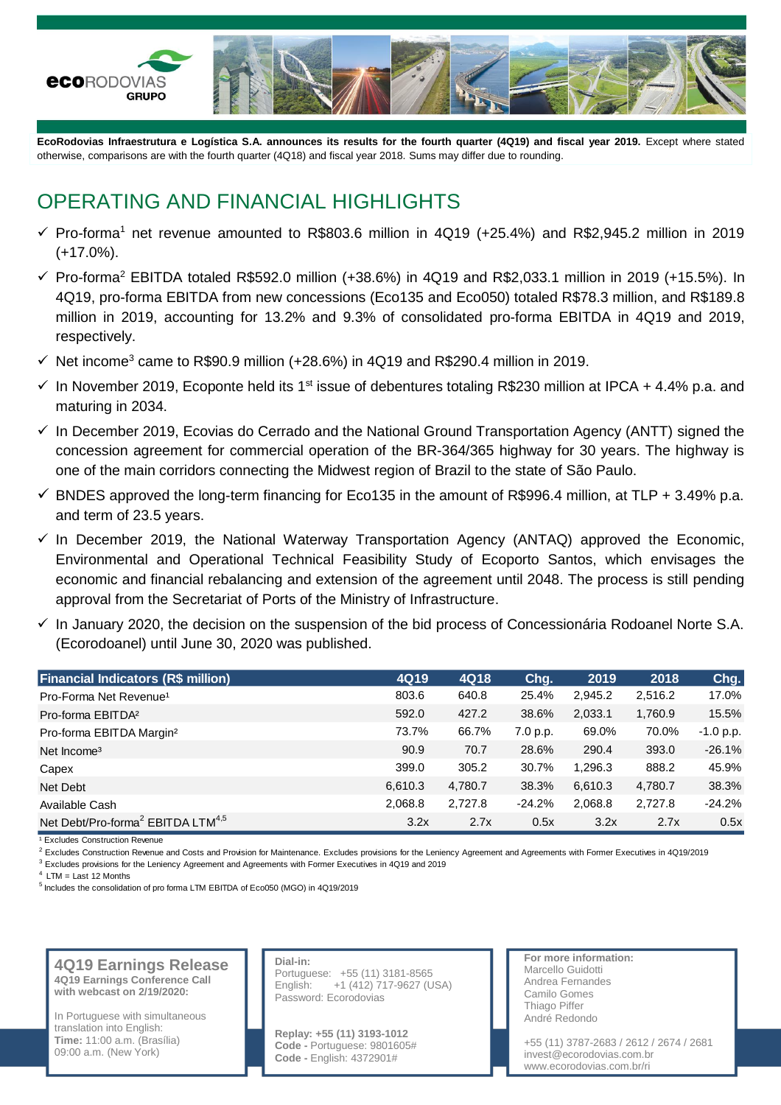

**EcoRodovias Infraestrutura e Logística S.A. announces its results for the fourth quarter (4Q19) and fiscal year 2019.** Except where stated otherwise, comparisons are with the fourth quarter (4Q18) and fiscal year 2018. Sums may differ due to rounding.

## OPERATING AND FINANCIAL HIGHLIGHTS

- $\checkmark$  Pro-forma<sup>1</sup> net revenue amounted to R\$803.6 million in 4Q19 (+25.4%) and R\$2,945.2 million in 2019 (+17.0%).
- ✓ Pro-forma<sup>2</sup> EBITDA totaled R\$592.0 million (+38.6%) in 4Q19 and R\$2,033.1 million in 2019 (+15.5%). In 4Q19, pro-forma EBITDA from new concessions (Eco135 and Eco050) totaled R\$78.3 million, and R\$189.8 million in 2019, accounting for 13.2% and 9.3% of consolidated pro-forma EBITDA in 4Q19 and 2019, respectively.
- $\checkmark$  Net income<sup>3</sup> came to R\$90.9 million (+28.6%) in 4Q19 and R\$290.4 million in 2019.
- $\checkmark$  In November 2019, Ecoponte held its 1<sup>st</sup> issue of debentures totaling R\$230 million at IPCA + 4.4% p.a. and maturing in 2034.
- $\checkmark$  In December 2019, Ecovias do Cerrado and the National Ground Transportation Agency (ANTT) signed the concession agreement for commercial operation of the BR-364/365 highway for 30 years. The highway is one of the main corridors connecting the Midwest region of Brazil to the state of São Paulo.
- $\checkmark$  BNDES approved the long-term financing for Eco135 in the amount of R\$996.4 million, at TLP + 3.49% p.a. and term of 23.5 years.
- $\checkmark$  In December 2019, the National Waterway Transportation Agency (ANTAQ) approved the Economic, Environmental and Operational Technical Feasibility Study of Ecoporto Santos, which envisages the economic and financial rebalancing and extension of the agreement until 2048. The process is still pending approval from the Secretariat of Ports of the Ministry of Infrastructure.
- ✓ In January 2020, the decision on the suspension of the bid process of Concessionária Rodoanel Norte S.A. (Ecorodoanel) until June 30, 2020 was published.

| <b>Financial Indicators (R\$ million)</b>                 | 4Q19    | 4Q18    | Chg.     | 2019    | 2018    | Chg.        |
|-----------------------------------------------------------|---------|---------|----------|---------|---------|-------------|
| Pro-Forma Net Revenue <sup>1</sup>                        | 803.6   | 640.8   | 25.4%    | 2,945.2 | 2,516.2 | 17.0%       |
| Pro-forma EBITDA <sup>2</sup>                             | 592.0   | 427.2   | 38.6%    | 2,033.1 | 1,760.9 | 15.5%       |
| Pro-forma EBITDA Margin <sup>2</sup>                      | 73.7%   | 66.7%   | 7.0 p.p. | 69.0%   | 70.0%   | $-1.0 p.p.$ |
| Net Income <sup>3</sup>                                   | 90.9    | 70.7    | 28.6%    | 290.4   | 393.0   | $-26.1%$    |
| Capex                                                     | 399.0   | 305.2   | 30.7%    | 1.296.3 | 888.2   | 45.9%       |
| Net Debt                                                  | 6.610.3 | 4,780.7 | 38.3%    | 6,610.3 | 4,780.7 | 38.3%       |
| Available Cash                                            | 2,068.8 | 2.727.8 | $-24.2%$ | 2,068.8 | 2,727.8 | $-24.2%$    |
| Net Debt/Pro-forma <sup>2</sup> EBITDA LTM <sup>4,5</sup> | 3.2x    | 2.7x    | 0.5x     | 3.2x    | 2.7x    | 0.5x        |

<sup>1</sup> Excludes Construction Revenue

<sup>2</sup> Excludes Construction Revenue and Costs and Provision for Maintenance. Excludes provisions for the Leniency Agreement and Agreements with Former Executives in 4Q19/2019

3 Excludes provisions for the Leniency Agreement and Agreements with Former Executives in 4Q19 and 2019

 $4$  LTM = Last 12 Months

<sup>5</sup> Includes the consolidation of pro forma LTM EBITDA of Eco050 (MGO) in 4Q19/2019

**4Q19 Earnings Release 4Q19 Earnings Conference Call with webcast on 2/19/2020:**

In Portuguese with simultaneous translation into English: **Time:** 11:00 a.m. (Brasília) 09:00 a.m. (New York)

#### **Dial-in:** Portuguese: +55 (11) 3181-8565 English: +1 (412) 717-9627 (USA) Password: Ecorodovias

**Replay: +55 (11) 3193-1012 Code -** Portuguese: 9801605# **Code -** English: 4372901#

**For more information:** Marcello Guidotti Andrea Fernandes Camilo Gomes Thiago Piffer André Redondo

+55 (11) 3787-2683 / 2612 / 2674 / 2681 invest@ecorodovias.com.br www.ecorodovias.com.br/ri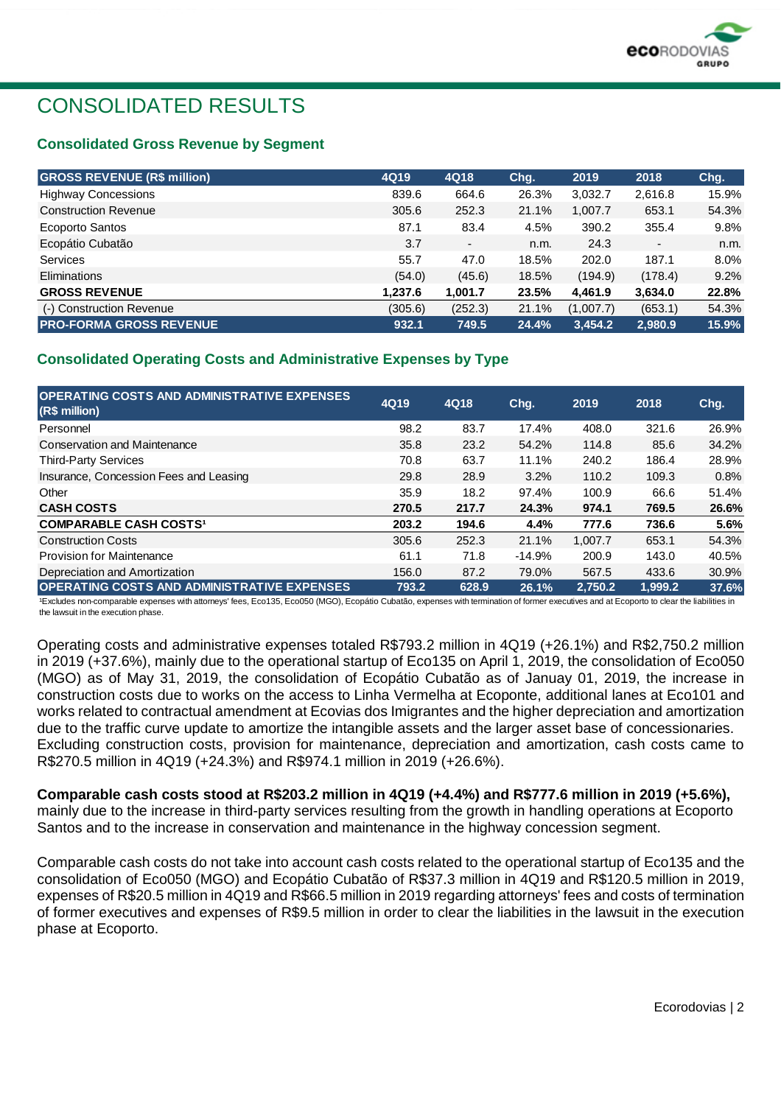

## CONSOLIDATED RESULTS

#### **Consolidated Gross Revenue by Segment**

| <b>GROSS REVENUE (R\$ million)</b> | 4Q19    | 4Q18                     | Chq.  | 2019      | 2018    | Chg.  |
|------------------------------------|---------|--------------------------|-------|-----------|---------|-------|
| <b>Highway Concessions</b>         | 839.6   | 664.6                    | 26.3% | 3,032.7   | 2,616.8 | 15.9% |
| <b>Construction Revenue</b>        | 305.6   | 252.3                    | 21.1% | 1,007.7   | 653.1   | 54.3% |
| Ecoporto Santos                    | 87.1    | 83.4                     | 4.5%  | 390.2     | 355.4   | 9.8%  |
| Ecopátio Cubatão                   | 3.7     | $\overline{\phantom{a}}$ | n.m.  | 24.3      | ٠       | n.m.  |
| <b>Services</b>                    | 55.7    | 47.0                     | 18.5% | 202.0     | 187.1   | 8.0%  |
| Eliminations                       | (54.0)  | (45.6)                   | 18.5% | (194.9)   | (178.4) | 9.2%  |
| <b>GROSS REVENUE</b>               | 1,237.6 | 1,001.7                  | 23.5% | 4.461.9   | 3,634.0 | 22.8% |
| (-) Construction Revenue           | (305.6) | (252.3)                  | 21.1% | (1,007.7) | (653.1) | 54.3% |
| <b>PRO-FORMA GROSS REVENUE</b>     | 932.1   | 749.5                    | 24.4% | 3.454.2   | 2,980.9 | 15.9% |

#### **Consolidated Operating Costs and Administrative Expenses by Type**

| <b>OPERATING COSTS AND ADMINISTRATIVE EXPENSES</b><br>(R\$ million) | 4Q19  | 4Q18  | Chq.     | 2019    | 2018    | Chq.  |
|---------------------------------------------------------------------|-------|-------|----------|---------|---------|-------|
| Personnel                                                           | 98.2  | 83.7  | 17.4%    | 408.0   | 321.6   | 26.9% |
| Conservation and Maintenance                                        | 35.8  | 23.2  | 54.2%    | 114.8   | 85.6    | 34.2% |
| <b>Third-Party Services</b>                                         | 70.8  | 63.7  | 11.1%    | 240.2   | 186.4   | 28.9% |
| Insurance, Concession Fees and Leasing                              | 29.8  | 28.9  | 3.2%     | 110.2   | 109.3   | 0.8%  |
| Other                                                               | 35.9  | 18.2  | 97.4%    | 100.9   | 66.6    | 51.4% |
| <b>CASH COSTS</b>                                                   | 270.5 | 217.7 | 24.3%    | 974.1   | 769.5   | 26.6% |
| <b>COMPARABLE CASH COSTS1</b>                                       | 203.2 | 194.6 | 4.4%     | 777.6   | 736.6   | 5.6%  |
| <b>Construction Costs</b>                                           | 305.6 | 252.3 | 21.1%    | 1.007.7 | 653.1   | 54.3% |
| <b>Provision for Maintenance</b>                                    | 61.1  | 71.8  | $-14.9%$ | 200.9   | 143.0   | 40.5% |
| Depreciation and Amortization                                       | 156.0 | 87.2  | 79.0%    | 567.5   | 433.6   | 30.9% |
| <b>OPERATING COSTS AND ADMINISTRATIVE EXPENSES</b>                  | 793.2 | 628.9 | 26.1%    | 2.750.2 | 1.999.2 | 37.6% |

<sup>1</sup>Excludes non-comparable expenses with attorneys' fees, Eco135, Eco050 (MGO), Ecopátio Cubatão, expenses with termination of former executives and at Ecoporto to clear the liabilities in the lawsuit in the execution phase.

Operating costs and administrative expenses totaled R\$793.2 million in 4Q19 (+26.1%) and R\$2,750.2 million in 2019 (+37.6%), mainly due to the operational startup of Eco135 on April 1, 2019, the consolidation of Eco050 (MGO) as of May 31, 2019, the consolidation of Ecopátio Cubatão as of Januay 01, 2019, the increase in construction costs due to works on the access to Linha Vermelha at Ecoponte, additional lanes at Eco101 and works related to contractual amendment at Ecovias dos Imigrantes and the higher depreciation and amortization due to the traffic curve update to amortize the intangible assets and the larger asset base of concessionaries. Excluding construction costs, provision for maintenance, depreciation and amortization, cash costs came to R\$270.5 million in 4Q19 (+24.3%) and R\$974.1 million in 2019 (+26.6%).

#### **Comparable cash costs stood at R\$203.2 million in 4Q19 (+4.4%) and R\$777.6 million in 2019 (+5.6%),**

mainly due to the increase in third-party services resulting from the growth in handling operations at Ecoporto Santos and to the increase in conservation and maintenance in the highway concession segment.

Comparable cash costs do not take into account cash costs related to the operational startup of Eco135 and the consolidation of Eco050 (MGO) and Ecopátio Cubatão of R\$37.3 million in 4Q19 and R\$120.5 million in 2019, expenses of R\$20.5 million in 4Q19 and R\$66.5 million in 2019 regarding attorneys' fees and costs of termination of former executives and expenses of R\$9.5 million in order to clear the liabilities in the lawsuit in the execution phase at Ecoporto.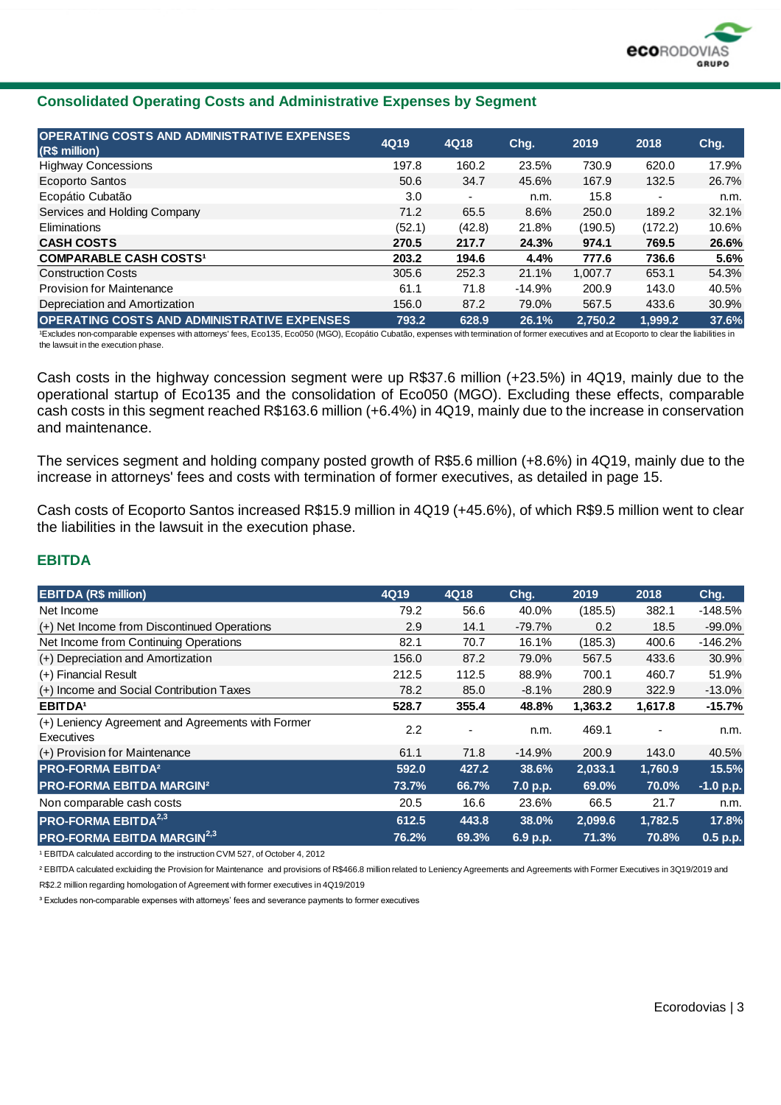

#### **Consolidated Operating Costs and Administrative Expenses by Segment**

| OPERATING COSTS AND ADMINISTRATIVE EXPENSES<br>(R\$ million) | 4Q19   | 4Q18                     | Chg.     | 2019    | 2018                     | Chg.  |
|--------------------------------------------------------------|--------|--------------------------|----------|---------|--------------------------|-------|
| <b>Highway Concessions</b>                                   | 197.8  | 160.2                    | 23.5%    | 730.9   | 620.0                    | 17.9% |
| Ecoporto Santos                                              | 50.6   | 34.7                     | 45.6%    | 167.9   | 132.5                    | 26.7% |
| Ecopátio Cubatão                                             | 3.0    | $\overline{\phantom{a}}$ | n.m.     | 15.8    | $\overline{\phantom{0}}$ | n.m.  |
| Services and Holding Company                                 | 71.2   | 65.5                     | 8.6%     | 250.0   | 189.2                    | 32.1% |
| Eliminations                                                 | (52.1) | (42.8)                   | 21.8%    | (190.5) | (172.2)                  | 10.6% |
| <b>CASH COSTS</b>                                            | 270.5  | 217.7                    | 24.3%    | 974.1   | 769.5                    | 26.6% |
| <b>COMPARABLE CASH COSTS1</b>                                | 203.2  | 194.6                    | 4.4%     | 777.6   | 736.6                    | 5.6%  |
| <b>Construction Costs</b>                                    | 305.6  | 252.3                    | 21.1%    | 1.007.7 | 653.1                    | 54.3% |
| <b>Provision for Maintenance</b>                             | 61.1   | 71.8                     | $-14.9%$ | 200.9   | 143.0                    | 40.5% |
| Depreciation and Amortization                                | 156.0  | 87.2                     | 79.0%    | 567.5   | 433.6                    | 30.9% |
| <b>OPERATING COSTS AND ADMINISTRATIVE EXPENSES</b>           | 793.2  | 628.9                    | 26.1%    | 2,750.2 | 1,999.2                  | 37.6% |

1Excludes non-comparable expenses with attorneys' fees, Eco135, Eco050 (MGO), Ecopátio Cubatão, expenses with termination of former executives and at Ecoporto to clear the liabilities in the lawsuit in the execution phase.

Cash costs in the highway concession segment were up R\$37.6 million (+23.5%) in 4Q19, mainly due to the operational startup of Eco135 and the consolidation of Eco050 (MGO). Excluding these effects, comparable cash costs in this segment reached R\$163.6 million (+6.4%) in 4Q19, mainly due to the increase in conservation and maintenance.

The services segment and holding company posted growth of R\$5.6 million (+8.6%) in 4Q19, mainly due to the increase in attorneys' fees and costs with termination of former executives, as detailed in page 15.

Cash costs of Ecoporto Santos increased R\$15.9 million in 4Q19 (+45.6%), of which R\$9.5 million went to clear the liabilities in the lawsuit in the execution phase.

#### **EBITDA**

| <b>EBITDA (R\$ million)</b>                                     | 4Q19  | 4Q18  | Chg.     | 2019    | 2018    | Chg.      |
|-----------------------------------------------------------------|-------|-------|----------|---------|---------|-----------|
| Net Income                                                      | 79.2  | 56.6  | 40.0%    | (185.5) | 382.1   | $-148.5%$ |
| (+) Net Income from Discontinued Operations                     | 2.9   | 14.1  | $-79.7%$ | 0.2     | 18.5    | $-99.0%$  |
| Net Income from Continuing Operations                           | 82.1  | 70.7  | 16.1%    | (185.3) | 400.6   | $-146.2%$ |
| (+) Depreciation and Amortization                               | 156.0 | 87.2  | 79.0%    | 567.5   | 433.6   | 30.9%     |
| (+) Financial Result                                            | 212.5 | 112.5 | 88.9%    | 700.1   | 460.7   | 51.9%     |
| (+) Income and Social Contribution Taxes                        | 78.2  | 85.0  | $-8.1%$  | 280.9   | 322.9   | $-13.0%$  |
| <b>EBITDA</b>                                                   | 528.7 | 355.4 | 48.8%    | 1,363.2 | 1,617.8 | $-15.7%$  |
| (+) Leniency Agreement and Agreements with Former<br>Executives | 2.2   |       | n.m.     | 469.1   |         | n.m.      |
| (+) Provision for Maintenance                                   | 61.1  | 71.8  | $-14.9%$ | 200.9   | 143.0   | 40.5%     |
| <b>PRO-FORMA EBITDA<sup>2</sup></b>                             | 592.0 | 427.2 | 38.6%    | 2,033.1 | 1,760.9 | 15.5%     |
| <b>PRO-FORMA EBITDA MARGIN<sup>2</sup></b>                      | 73.7% | 66.7% | 7.0 p.p. | 69.0%   | 70.0%   | -1.0 p.p. |
| Non comparable cash costs                                       | 20.5  | 16.6  | 23.6%    | 66.5    | 21.7    | n.m.      |
| <b>PRO-FORMA EBITDA<sup>2,3</sup></b>                           | 612.5 | 443.8 | 38.0%    | 2,099.6 | 1,782.5 | 17.8%     |
| <b>PRO-FORMA EBITDA MARGIN<sup>2,3</sup></b>                    | 76.2% | 69.3% | 6.9 p.p. | 71.3%   | 70.8%   | 0.5 p.p.  |

<sup>1</sup> EBITDA calculated according to the instruction CVM 527, of October 4, 2012

² EBITDA calculated excluiding the Provision for Maintenance and provisions of R\$466.8 million related to Leniency Agreements and Agreements with Former Executives in 3Q19/2019 and R\$2.2 million regarding homologation of Agreement with former executives in 4Q19/2019

<sup>3</sup> Excludes non-comparable expenses with attorneys' fees and severance payments to former executives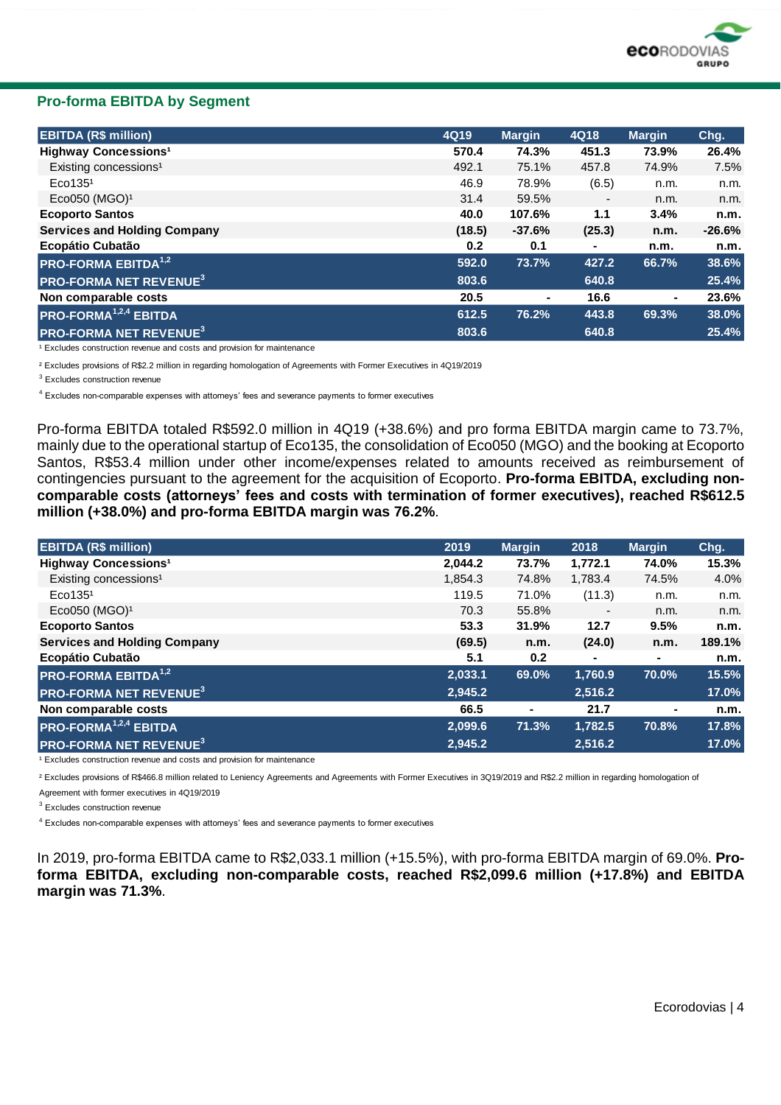

#### **Pro-forma EBITDA by Segment**

| <b>EBITDA (R\$ million)</b>              | 4Q19             | <b>Margin</b> | 4Q18                     | <b>Margin</b> | Chg.      |
|------------------------------------------|------------------|---------------|--------------------------|---------------|-----------|
| <b>Highway Concessions<sup>1</sup></b>   | 570.4            | 74.3%         | 451.3                    | 73.9%         | 26.4%     |
| Existing concessions <sup>1</sup>        | 492.1            | 75.1%         | 457.8                    | 74.9%         | 7.5%      |
| Eco135 <sup>1</sup>                      | 46.9             | 78.9%         | (6.5)                    | n.m.          | n.m.      |
| Eco050 (MGO) <sup>1</sup>                | 31.4             | 59.5%         | $\overline{\phantom{a}}$ | n.m.          | n.m.      |
| <b>Ecoporto Santos</b>                   | 40.0             | 107.6%        | 1.1                      | 3.4%          | n.m.      |
| <b>Services and Holding Company</b>      | (18.5)           | $-37.6%$      | (25.3)                   | n.m.          | $-26.6\%$ |
| Ecopátio Cubatão                         | 0.2 <sub>0</sub> | 0.1           | ٠                        | n.m.          | n.m.      |
| <b>PRO-FORMA EBITDA</b> <sup>1,2</sup>   | 592.0            | 73.7%         | 427.2                    | 66.7%         | 38.6%     |
| <b>PRO-FORMA NET REVENUE<sup>3</sup></b> | 803.6            |               | 640.8                    |               | 25.4%     |
| Non comparable costs                     | 20.5             | ۰             | 16.6                     | ۰             | 23.6%     |
| <b>PRO-FORMA<sup>1,2,4</sup> EBITDA</b>  | 612.5            | 76.2%         | 443.8                    | 69.3%         | 38.0%     |
| <b>PRO-FORMA NET REVENUE<sup>3</sup></b> | 803.6            |               | 640.8                    |               | 25.4%     |

<sup>1</sup> Excludes construction revenue and costs and provision for maintenance

² Excludes provisions of R\$2.2 million in regarding homologation of Agreements with Former Executives in 4Q19/2019

<sup>3</sup> Excludes construction revenue

4 Excludes non-comparable expenses with attorneys' fees and severance payments to former executives

Pro-forma EBITDA totaled R\$592.0 million in 4Q19 (+38.6%) and pro forma EBITDA margin came to 73.7%, mainly due to the operational startup of Eco135, the consolidation of Eco050 (MGO) and the booking at Ecoporto Santos, R\$53.4 million under other income/expenses related to amounts received as reimbursement of contingencies pursuant to the agreement for the acquisition of Ecoporto. **Pro-forma EBITDA, excluding noncomparable costs (attorneys' fees and costs with termination of former executives), reached R\$612.5 million (+38.0%) and pro-forma EBITDA margin was 76.2%**.

| <b>EBITDA (R\$ million)</b>              | 2019    | <b>Margin</b> | 2018    | <b>Margin</b>  | Chg.   |
|------------------------------------------|---------|---------------|---------|----------------|--------|
| <b>Highway Concessions<sup>1</sup></b>   | 2,044.2 | 73.7%         | 1,772.1 | 74.0%          | 15.3%  |
| Existing concessions <sup>1</sup>        | 1,854.3 | 74.8%         | 1,783.4 | 74.5%          | 4.0%   |
| Eco135 <sup>1</sup>                      | 119.5   | 71.0%         | (11.3)  | n.m.           | n.m.   |
| Eco050 (MGO) <sup>1</sup>                | 70.3    | 55.8%         | ٠       | n.m.           | n.m.   |
| <b>Ecoporto Santos</b>                   | 53.3    | 31.9%         | 12.7    | 9.5%           | n.m.   |
| <b>Services and Holding Company</b>      | (69.5)  | n.m.          | (24.0)  | n.m.           | 189.1% |
| Ecopátio Cubatão                         | 5.1     | 0.2           |         | ۰.             | n.m.   |
| <b>PRO-FORMA EBITDA</b> <sup>1,2</sup>   | 2,033.1 | 69.0%         | 1,760.9 | 70.0%          | 15.5%  |
| <b>PRO-FORMA NET REVENUE<sup>3</sup></b> | 2,945.2 |               | 2,516.2 |                | 17.0%  |
| Non comparable costs                     | 66.5    | ۰             | 21.7    | $\blacksquare$ | n.m.   |
| <b>PRO-FORMA<sup>1,2,4</sup> EBITDA</b>  | 2,099.6 | 71.3%         | 1,782.5 | 70.8%          | 17.8%  |
| <b>PRO-FORMA NET REVENUE<sup>3</sup></b> | 2,945.2 |               | 2,516.2 |                | 17.0%  |

<sup>1</sup> Excludes construction revenue and costs and provision for maintenance

² Excludes provisions of R\$466.8 million related to Leniency Agreements and Agreements with Former Executives in 3Q19/2019 and R\$2.2 million in regarding homologation of

Agreement with former executives in 4Q19/2019

<sup>3</sup> Excludes construction revenue

 $^4$  Excludes non-comparable expenses with attorneys' fees and severance payments to former executives

In 2019, pro-forma EBITDA came to R\$2,033.1 million (+15.5%), with pro-forma EBITDA margin of 69.0%. **Proforma EBITDA, excluding non-comparable costs, reached R\$2,099.6 million (+17.8%) and EBITDA margin was 71.3%**.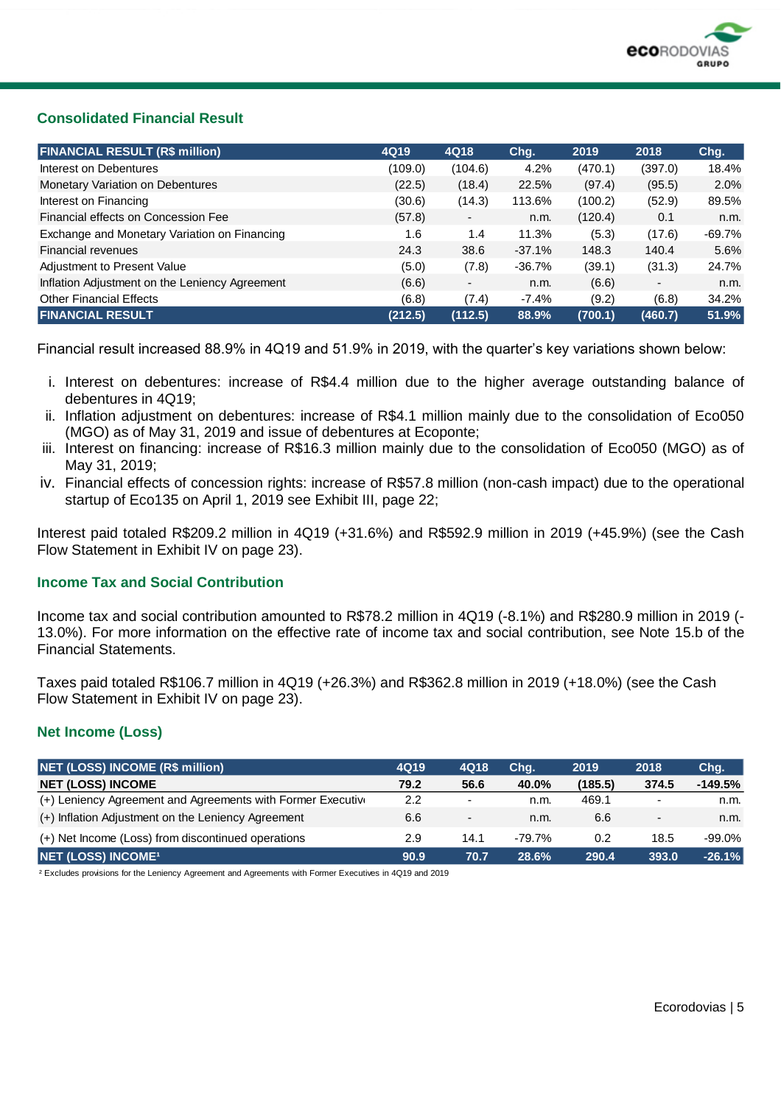

#### **Consolidated Financial Result**

| <b>FINANCIAL RESULT (R\$ million)</b>          | 4Q19    | 4Q18                     | Chg.     | 2019    | 2018                     | Chg.      |
|------------------------------------------------|---------|--------------------------|----------|---------|--------------------------|-----------|
| Interest on Debentures                         | (109.0) | (104.6)                  | 4.2%     | (470.1) | (397.0)                  | 18.4%     |
| <b>Monetary Variation on Debentures</b>        | (22.5)  | (18.4)                   | 22.5%    | (97.4)  | (95.5)                   | 2.0%      |
| Interest on Financing                          | (30.6)  | (14.3)                   | 113.6%   | (100.2) | (52.9)                   | 89.5%     |
| Financial effects on Concession Fee            | (57.8)  | $\overline{\phantom{a}}$ | n.m.     | (120.4) | 0.1                      | n.m.      |
| Exchange and Monetary Variation on Financing   | 1.6     | 1.4                      | 11.3%    | (5.3)   | (17.6)                   | $-69.7\%$ |
| <b>Financial revenues</b>                      | 24.3    | 38.6                     | $-37.1%$ | 148.3   | 140.4                    | 5.6%      |
| Adjustment to Present Value                    | (5.0)   | (7.8)                    | -36.7%   | (39.1)  | (31.3)                   | 24.7%     |
| Inflation Adjustment on the Leniency Agreement | (6.6)   | $\overline{\phantom{a}}$ | n.m.     | (6.6)   | $\overline{\phantom{a}}$ | n.m.      |
| <b>Other Financial Effects</b>                 | (6.8)   | (7.4)                    | $-7.4%$  | (9.2)   | (6.8)                    | 34.2%     |
| <b>FINANCIAL RESULT</b>                        | (212.5) | (112.5)                  | 88.9%    | (700.1) | (460.7)                  | 51.9%     |

Financial result increased 88.9% in 4Q19 and 51.9% in 2019, with the quarter's key variations shown below:

- i. Interest on debentures: increase of R\$4.4 million due to the higher average outstanding balance of debentures in 4Q19;
- ii. Inflation adjustment on debentures: increase of R\$4.1 million mainly due to the consolidation of Eco050 (MGO) as of May 31, 2019 and issue of debentures at Ecoponte;
- iii. Interest on financing: increase of R\$16.3 million mainly due to the consolidation of Eco050 (MGO) as of May 31, 2019;
- iv. Financial effects of concession rights: increase of R\$57.8 million (non-cash impact) due to the operational startup of Eco135 on April 1, 2019 see Exhibit III, page 22;

Interest paid totaled R\$209.2 million in 4Q19 (+31.6%) and R\$592.9 million in 2019 (+45.9%) (see the Cash Flow Statement in Exhibit IV on page 23).

#### **Income Tax and Social Contribution**

Income tax and social contribution amounted to R\$78.2 million in 4Q19 (-8.1%) and R\$280.9 million in 2019 (- 13.0%). For more information on the effective rate of income tax and social contribution, see Note 15.b of the Financial Statements.

Taxes paid totaled R\$106.7 million in 4Q19 (+26.3%) and R\$362.8 million in 2019 (+18.0%) (see the Cash Flow Statement in Exhibit IV on page 23).

#### **Net Income (Loss)**

| NET (LOSS) INCOME (R\$ million)                             | 4Q19             | 4Q18                     | Chq.   | 2019    | 2018           | Chg.      |
|-------------------------------------------------------------|------------------|--------------------------|--------|---------|----------------|-----------|
| <b>NET (LOSS) INCOME</b>                                    | 79.2             | 56.6                     | 40.0%  | (185.5) | 374.5          | $-149.5%$ |
| (+) Leniency Agreement and Agreements with Former Executive | $2.2\phantom{0}$ |                          | n.m.   | 469.1   |                | n.m.      |
| (+) Inflation Adjustment on the Leniency Agreement          | 6.6              | $\overline{\phantom{a}}$ | n.m.   | 6.6     | $\blacksquare$ | n.m.      |
| (+) Net Income (Loss) from discontinued operations          | 2.9              | 14.1                     | -79.7% | 0.2     | 18.5           | $-99.0\%$ |
| <b>NET (LOSS) INCOME<sup>1</sup></b>                        | 90.9             | 70.7                     | 28.6%  | 290.4   | 393.0          | $-26.1%$  |

² Excludes provisions for the Leniency Agreement and Agreements with Former Executives in 4Q19 and 2019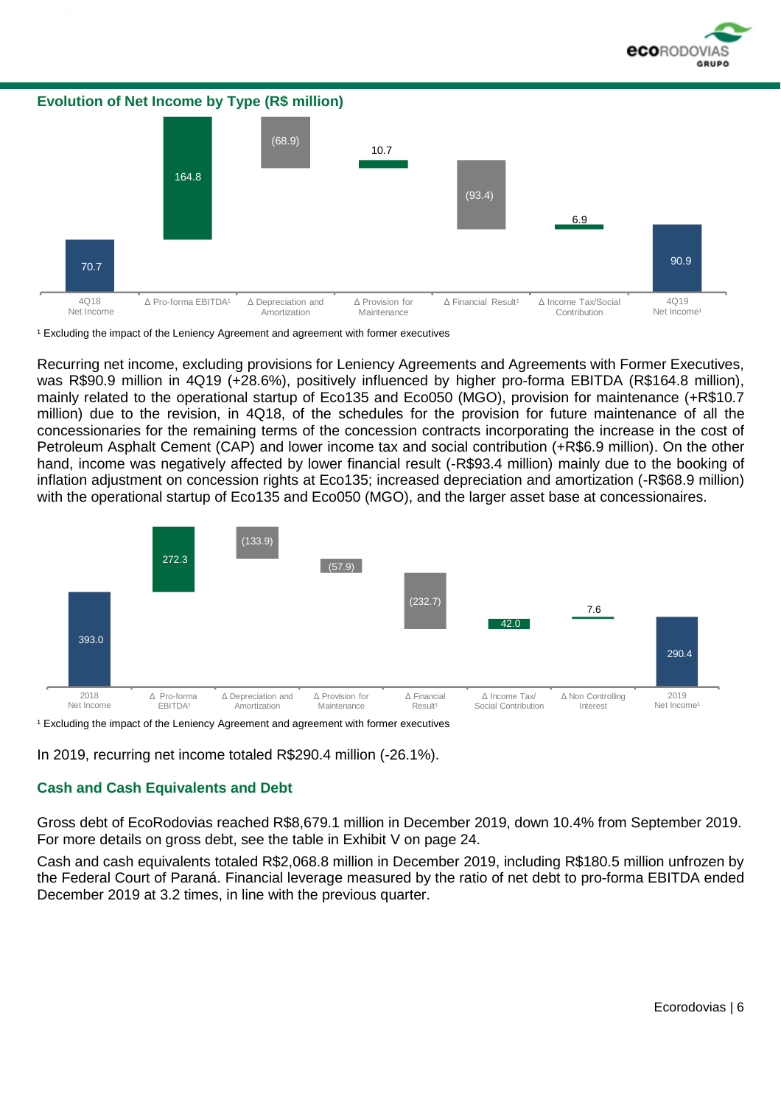

**Evolution of Net Income by Type (R\$ million)** 70.7 164.8 (68.9) 10.7 (93.4) 6.9 90.9 4Q18 Net Income Δ Pro-forma EBITDA<sup>1</sup> Δ Depreciation and **Amortization** Δ Provision for Maintenance Δ Financial Result<sup>1</sup> Δ Income Tax/Social Contribution 4Q19 Net Income

<sup>1</sup> Excluding the impact of the Leniency Agreement and agreement with former executives

Recurring net income, excluding provisions for Leniency Agreements and Agreements with Former Executives, was R\$90.9 million in 4Q19 (+28.6%), positively influenced by higher pro-forma EBITDA (R\$164.8 million), mainly related to the operational startup of Eco135 and Eco050 (MGO), provision for maintenance (+R\$10.7 million) due to the revision, in 4Q18, of the schedules for the provision for future maintenance of all the concessionaries for the remaining terms of the concession contracts incorporating the increase in the cost of Petroleum Asphalt Cement (CAP) and lower income tax and social contribution (+R\$6.9 million). On the other hand, income was negatively affected by lower financial result (-R\$93.4 million) mainly due to the booking of inflation adjustment on concession rights at Eco135; increased depreciation and amortization (-R\$68.9 million) with the operational startup of Eco135 and Eco050 (MGO), and the larger asset base at concessionaires.



<sup>1</sup> Excluding the impact of the Leniency Agreement and agreement with former executives

In 2019, recurring net income totaled R\$290.4 million (-26.1%).

#### **Cash and Cash Equivalents and Debt**

Gross debt of EcoRodovias reached R\$8,679.1 million in December 2019, down 10.4% from September 2019. For more details on gross debt, see the table in Exhibit V on page 24.

Cash and cash equivalents totaled R\$2,068.8 million in December 2019, including R\$180.5 million unfrozen by the Federal Court of Paraná. Financial leverage measured by the ratio of net debt to pro-forma EBITDA ended December 2019 at 3.2 times, in line with the previous quarter.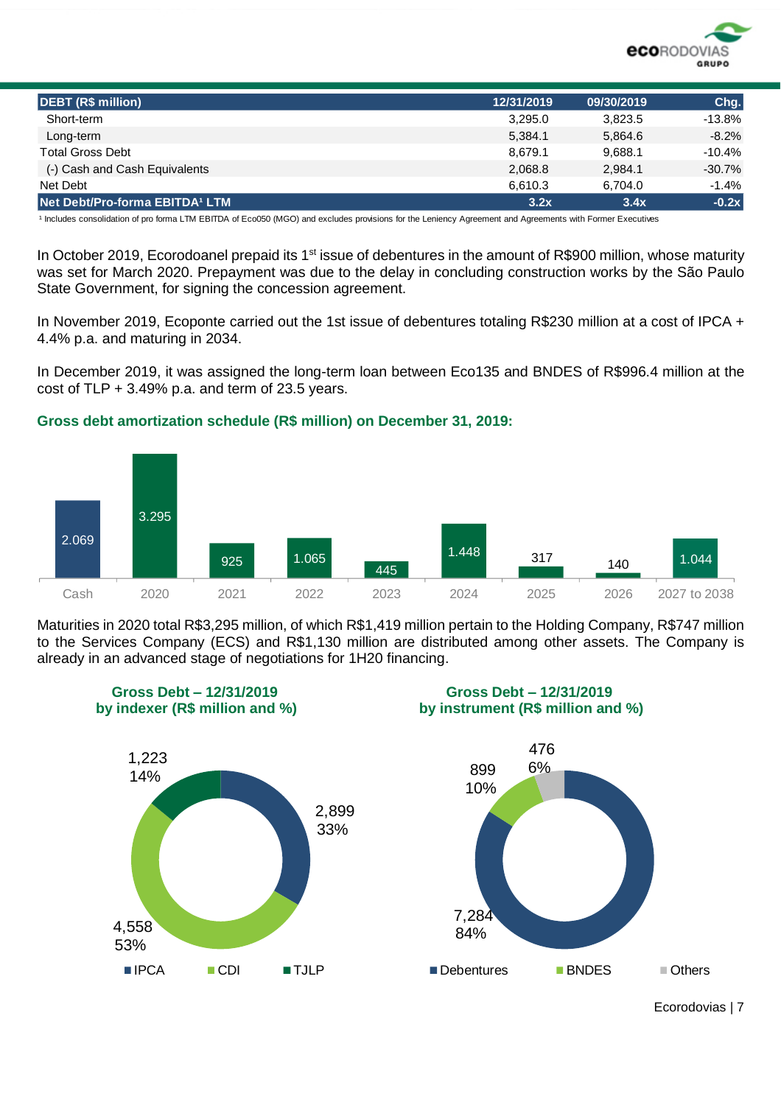

| <b>DEBT (R\$ million)</b>      | 12/31/2019 | 09/30/2019 | Chg.     |
|--------------------------------|------------|------------|----------|
| Short-term                     | 3.295.0    | 3.823.5    | $-13.8%$ |
| Long-term                      | 5.384.1    | 5.864.6    | $-8.2%$  |
| <b>Total Gross Debt</b>        | 8.679.1    | 9.688.1    | $-10.4%$ |
| (-) Cash and Cash Equivalents  | 2.068.8    | 2.984.1    | $-30.7%$ |
| Net Debt                       | 6.610.3    | 6.704.0    | $-1.4%$  |
| Net Debt/Pro-forma EBITDA1 LTM | 3.2x       | 3.4x       | $-0.2x$  |

<sup>1</sup> Includes consolidation of pro forma LTM EBITDA of Eco050 (MGO) and excludes provisions for the Leniency Agreement and Agreements with Former Executives

In October 2019, Ecorodoanel prepaid its 1<sup>st</sup> issue of debentures in the amount of R\$900 million, whose maturity was set for March 2020. Prepayment was due to the delay in concluding construction works by the São Paulo State Government, for signing the concession agreement.

In November 2019, Ecoponte carried out the 1st issue of debentures totaling R\$230 million at a cost of IPCA + 4.4% p.a. and maturing in 2034.

In December 2019, it was assigned the long-term loan between Eco135 and BNDES of R\$996.4 million at the cost of  $TLP + 3.49%$  p.a. and term of 23.5 years.

#### **Gross debt amortization schedule (R\$ million) on December 31, 2019:**



Maturities in 2020 total R\$3,295 million, of which R\$1,419 million pertain to the Holding Company, R\$747 million to the Services Company (ECS) and R\$1,130 million are distributed among other assets. The Company is already in an advanced stage of negotiations for 1H20 financing.



Ecorodovias | 7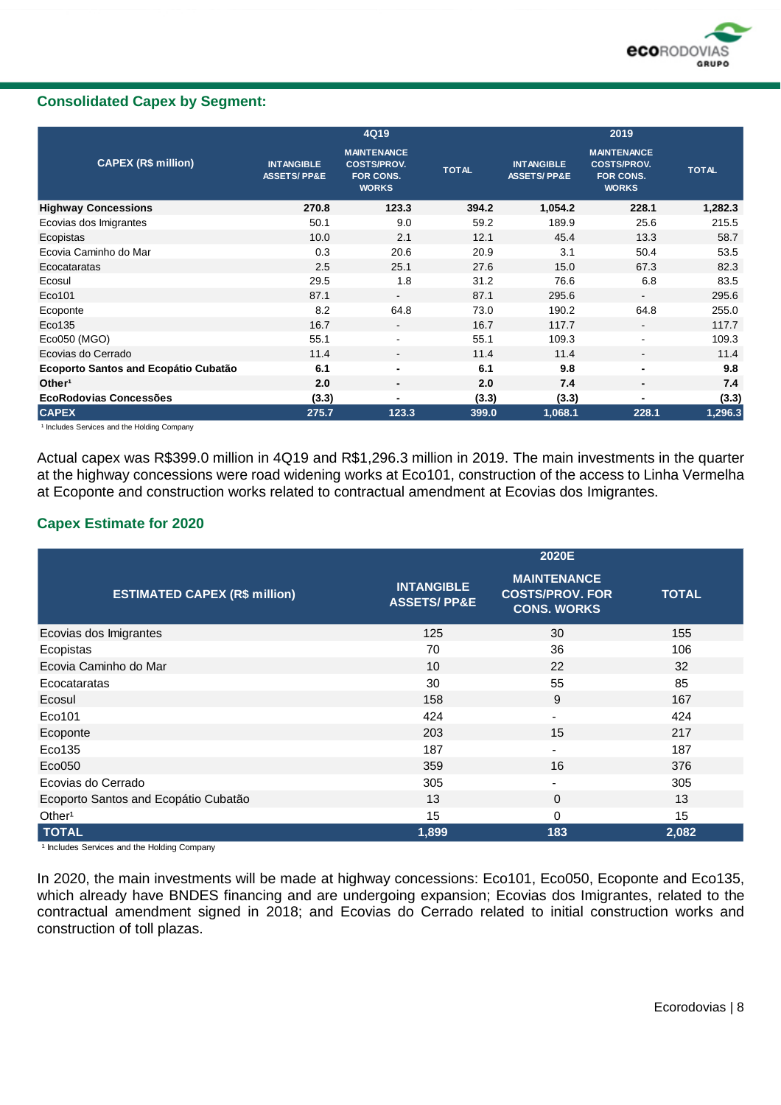

#### **Consolidated Capex by Segment:**

|                                      |                                             | 4Q19                                                                         |              |                                             | 2019                                                                  |              |
|--------------------------------------|---------------------------------------------|------------------------------------------------------------------------------|--------------|---------------------------------------------|-----------------------------------------------------------------------|--------------|
| <b>CAPEX (R\$ million)</b>           | <b>INTANGIBLE</b><br><b>ASSETS/PP&amp;E</b> | <b>MAINTENANCE</b><br><b>COSTS/PROV.</b><br><b>FOR CONS.</b><br><b>WORKS</b> | <b>TOTAL</b> | <b>INTANGIBLE</b><br><b>ASSETS/PP&amp;E</b> | <b>MAINTENANCE</b><br><b>COSTS/PROV.</b><br>FOR CONS.<br><b>WORKS</b> | <b>TOTAL</b> |
| <b>Highway Concessions</b>           | 270.8                                       | 123.3                                                                        | 394.2        | 1,054.2                                     | 228.1                                                                 | 1,282.3      |
| Ecovias dos Imigrantes               | 50.1                                        | 9.0                                                                          | 59.2         | 189.9                                       | 25.6                                                                  | 215.5        |
| Ecopistas                            | 10.0                                        | 2.1                                                                          | 12.1         | 45.4                                        | 13.3                                                                  | 58.7         |
| Ecovia Caminho do Mar                | 0.3                                         | 20.6                                                                         | 20.9         | 3.1                                         | 50.4                                                                  | 53.5         |
| Ecocataratas                         | 2.5                                         | 25.1                                                                         | 27.6         | 15.0                                        | 67.3                                                                  | 82.3         |
| Ecosul                               | 29.5                                        | 1.8                                                                          | 31.2         | 76.6                                        | 6.8                                                                   | 83.5         |
| Eco101                               | 87.1                                        | $\sim$                                                                       | 87.1         | 295.6                                       | $\overline{\phantom{0}}$                                              | 295.6        |
| Ecoponte                             | 8.2                                         | 64.8                                                                         | 73.0         | 190.2                                       | 64.8                                                                  | 255.0        |
| Eco135                               | 16.7                                        | $\blacksquare$                                                               | 16.7         | 117.7                                       | $\blacksquare$                                                        | 117.7        |
| Eco050 (MGO)                         | 55.1                                        | $\blacksquare$                                                               | 55.1         | 109.3                                       | ۰                                                                     | 109.3        |
| Ecovias do Cerrado                   | 11.4                                        | $\sim$                                                                       | 11.4         | 11.4                                        | ۰.                                                                    | 11.4         |
| Ecoporto Santos and Ecopátio Cubatão | 6.1                                         | $\blacksquare$                                                               | 6.1          | 9.8                                         | ٠                                                                     | 9.8          |
| Other <sup>1</sup>                   | 2.0                                         |                                                                              | 2.0          | 7.4                                         |                                                                       | 7.4          |
| EcoRodovias Concessões               | (3.3)                                       | $\blacksquare$                                                               | (3.3)        | (3.3)                                       | -                                                                     | (3.3)        |
| <b>CAPEX</b>                         | 275.7                                       | 123.3                                                                        | 399.0        | 1,068.1                                     | 228.1                                                                 | 1,296.3      |

<sup>1</sup> Includes Services and the Holding Company

Actual capex was R\$399.0 million in 4Q19 and R\$1,296.3 million in 2019. The main investments in the quarter at the highway concessions were road widening works at Eco101, construction of the access to Linha Vermelha at Ecoponte and construction works related to contractual amendment at Ecovias dos Imigrantes.

#### **Capex Estimate for 2020**

|                                      |                                             | 2020E                                                              |              |
|--------------------------------------|---------------------------------------------|--------------------------------------------------------------------|--------------|
| <b>ESTIMATED CAPEX (R\$ million)</b> | <b>INTANGIBLE</b><br><b>ASSETS/PP&amp;E</b> | <b>MAINTENANCE</b><br><b>COSTS/PROV. FOR</b><br><b>CONS. WORKS</b> | <b>TOTAL</b> |
| Ecovias dos Imigrantes               | 125                                         | 30                                                                 | 155          |
| Ecopistas                            | 70                                          | 36                                                                 | 106          |
| Ecovia Caminho do Mar                | 10                                          | 22                                                                 | 32           |
| Ecocataratas                         | 30                                          | 55                                                                 | 85           |
| Ecosul                               | 158                                         | 9                                                                  | 167          |
| Eco101                               | 424                                         | $\blacksquare$                                                     | 424          |
| Ecoponte                             | 203                                         | 15                                                                 | 217          |
| Eco135                               | 187                                         | $\overline{\phantom{0}}$                                           | 187          |
| Eco050                               | 359                                         | 16                                                                 | 376          |
| Ecovias do Cerrado                   | 305                                         | $\overline{\phantom{a}}$                                           | 305          |
| Ecoporto Santos and Ecopátio Cubatão | 13                                          | $\Omega$                                                           | 13           |
| Other <sup>1</sup>                   | 15                                          | $\Omega$                                                           | 15           |
| <b>TOTAL</b>                         | 1,899                                       | 183                                                                | 2,082        |

<sup>1</sup> Includes Services and the Holding Company

In 2020, the main investments will be made at highway concessions: Eco101, Eco050, Ecoponte and Eco135, which already have BNDES financing and are undergoing expansion; Ecovias dos Imigrantes, related to the contractual amendment signed in 2018; and Ecovias do Cerrado related to initial construction works and construction of toll plazas.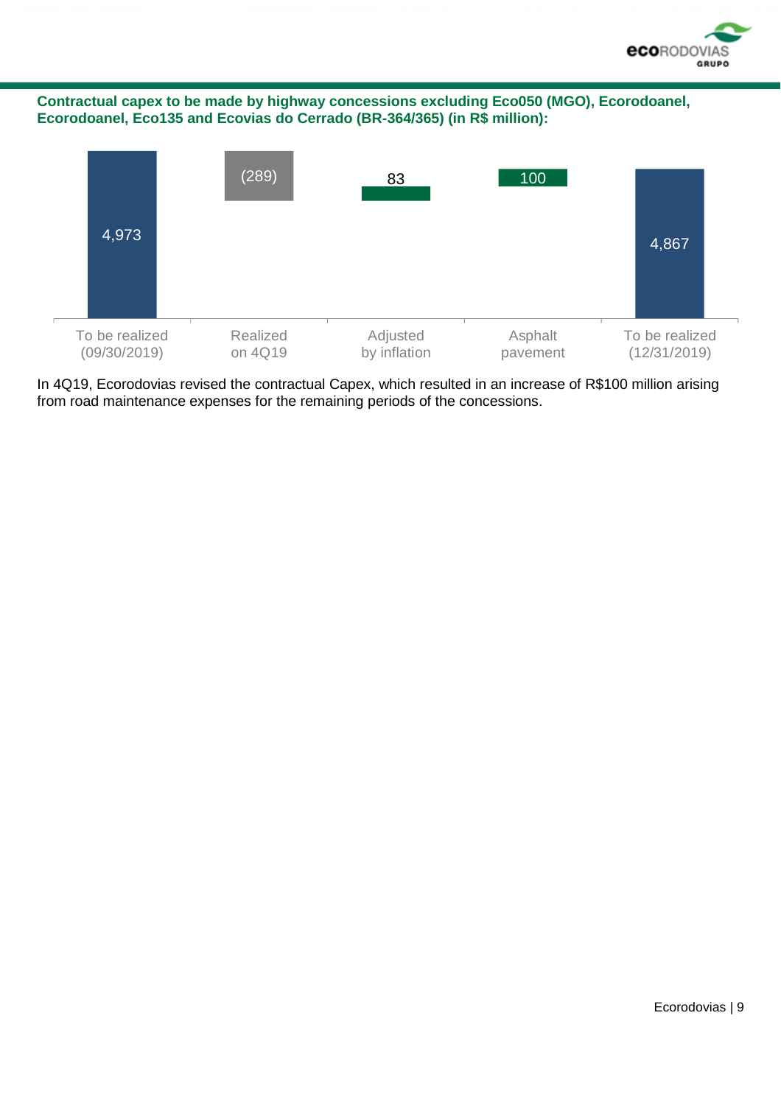

**Contractual capex to be made by highway concessions excluding Eco050 (MGO), Ecorodoanel, Ecorodoanel, Eco135 and Ecovias do Cerrado (BR-364/365) (in R\$ million):**



In 4Q19, Ecorodovias revised the contractual Capex, which resulted in an increase of R\$100 million arising from road maintenance expenses for the remaining periods of the concessions.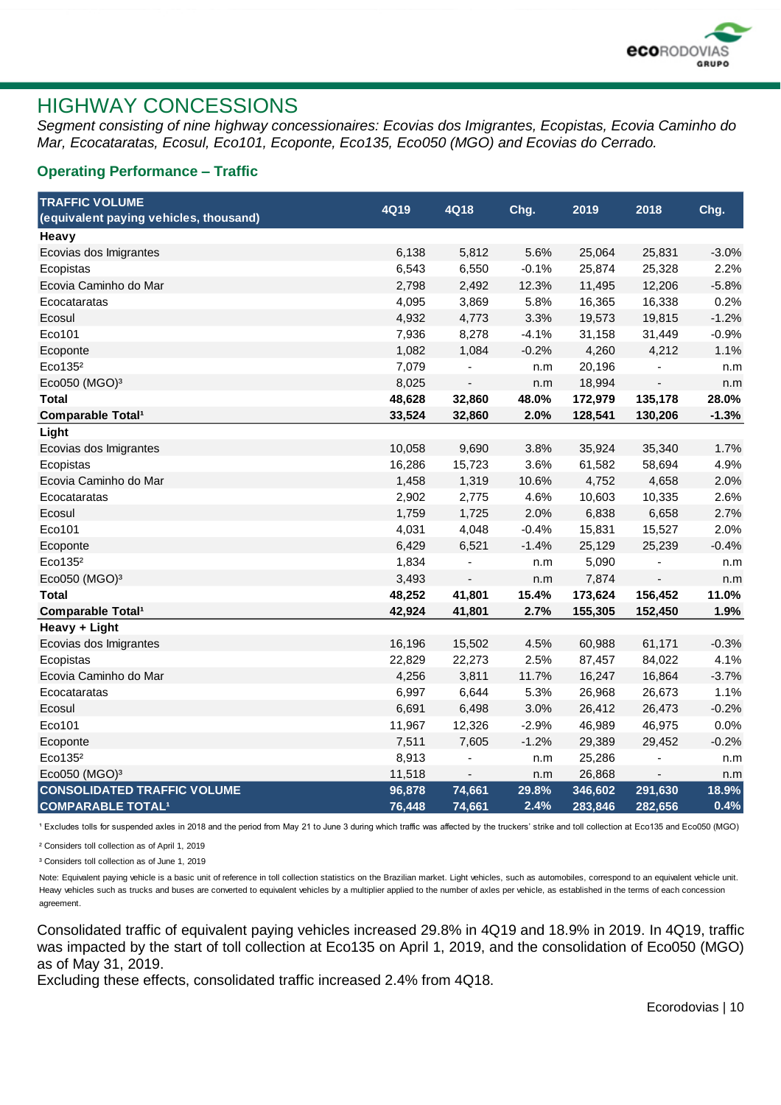

### HIGHWAY CONCESSIONS

*Segment consisting of nine highway concessionaires: Ecovias dos Imigrantes, Ecopistas, Ecovia Caminho do Mar, Ecocataratas, Ecosul, Eco101, Ecoponte, Eco135, Eco050 (MGO) and Ecovias do Cerrado.*

#### **Operating Performance – Traffic**

| <b>TRAFFIC VOLUME</b>                  |        |                          |         |         |         |         |
|----------------------------------------|--------|--------------------------|---------|---------|---------|---------|
| (equivalent paying vehicles, thousand) | 4Q19   | 4Q18                     | Chg.    | 2019    | 2018    | Chg.    |
| Heavy                                  |        |                          |         |         |         |         |
| Ecovias dos Imigrantes                 | 6,138  | 5,812                    | 5.6%    | 25,064  | 25,831  | $-3.0%$ |
| Ecopistas                              | 6,543  | 6,550                    | $-0.1%$ | 25,874  | 25,328  | 2.2%    |
| Ecovia Caminho do Mar                  | 2,798  | 2,492                    | 12.3%   | 11,495  | 12,206  | $-5.8%$ |
| Ecocataratas                           | 4,095  | 3,869                    | 5.8%    | 16,365  | 16,338  | 0.2%    |
| Ecosul                                 | 4,932  | 4,773                    | 3.3%    | 19,573  | 19,815  | $-1.2%$ |
| Eco101                                 | 7,936  | 8,278                    | $-4.1%$ | 31,158  | 31,449  | $-0.9%$ |
| Ecoponte                               | 1,082  | 1,084                    | $-0.2%$ | 4,260   | 4,212   | 1.1%    |
| Eco135 <sup>2</sup>                    | 7,079  |                          | n.m     | 20,196  |         | n.m     |
| Eco050 (MGO) <sup>3</sup>              | 8,025  | $\overline{\phantom{a}}$ | n.m     | 18,994  |         | n.m     |
| <b>Total</b>                           | 48,628 | 32,860                   | 48.0%   | 172,979 | 135,178 | 28.0%   |
| Comparable Total <sup>1</sup>          | 33,524 | 32,860                   | 2.0%    | 128,541 | 130,206 | $-1.3%$ |
| Light                                  |        |                          |         |         |         |         |
| Ecovias dos Imigrantes                 | 10,058 | 9,690                    | 3.8%    | 35,924  | 35,340  | 1.7%    |
| Ecopistas                              | 16,286 | 15,723                   | 3.6%    | 61,582  | 58,694  | 4.9%    |
| Ecovia Caminho do Mar                  | 1,458  | 1,319                    | 10.6%   | 4,752   | 4,658   | 2.0%    |
| Ecocataratas                           | 2,902  | 2,775                    | 4.6%    | 10,603  | 10,335  | 2.6%    |
| Ecosul                                 | 1,759  | 1,725                    | 2.0%    | 6,838   | 6,658   | 2.7%    |
| Eco101                                 | 4,031  | 4,048                    | $-0.4%$ | 15,831  | 15,527  | 2.0%    |
| Ecoponte                               | 6,429  | 6,521                    | $-1.4%$ | 25,129  | 25,239  | $-0.4%$ |
| Eco135 <sup>2</sup>                    | 1,834  |                          | n.m     | 5,090   |         | n.m     |
| Eco050 (MGO) <sup>3</sup>              | 3,493  | $\blacksquare$           | n.m     | 7,874   |         | n.m     |
| <b>Total</b>                           | 48,252 | 41,801                   | 15.4%   | 173,624 | 156,452 | 11.0%   |
| <b>Comparable Total<sup>1</sup></b>    | 42,924 | 41,801                   | 2.7%    | 155,305 | 152,450 | 1.9%    |
| Heavy + Light                          |        |                          |         |         |         |         |
| Ecovias dos Imigrantes                 | 16,196 | 15,502                   | 4.5%    | 60,988  | 61,171  | $-0.3%$ |
| Ecopistas                              | 22,829 | 22,273                   | 2.5%    | 87,457  | 84,022  | 4.1%    |
| Ecovia Caminho do Mar                  | 4,256  | 3,811                    | 11.7%   | 16,247  | 16,864  | $-3.7%$ |
| Ecocataratas                           | 6,997  | 6,644                    | 5.3%    | 26,968  | 26,673  | 1.1%    |
| Ecosul                                 | 6,691  | 6,498                    | 3.0%    | 26,412  | 26,473  | $-0.2%$ |
| Eco101                                 | 11,967 | 12,326                   | $-2.9%$ | 46,989  | 46,975  | 0.0%    |
| Ecoponte                               | 7,511  | 7,605                    | $-1.2%$ | 29,389  | 29,452  | $-0.2%$ |
| Eco135 <sup>2</sup>                    | 8,913  |                          | n.m     | 25,286  |         | n.m     |
| Eco050 (MGO) <sup>3</sup>              | 11,518 | $\blacksquare$           | n.m     | 26,868  |         | n.m     |
| <b>CONSOLIDATED TRAFFIC VOLUME</b>     | 96,878 | 74,661                   | 29.8%   | 346,602 | 291,630 | 18.9%   |
| <b>COMPARABLE TOTAL1</b>               | 76,448 | 74,661                   | 2.4%    | 283,846 | 282,656 | 0.4%    |

<sup>1</sup> Excludes tolls for suspended axles in 2018 and the period from May 21 to June 3 during which traffic was affected by the truckers' strike and toll collection at Eco135 and Eco050 (MGO)

² Considers toll collection as of April 1, 2019

³ Considers toll collection as of June 1, 2019

Note: Equivalent paying vehicle is a basic unit of reference in toll collection statistics on the Brazilian market. Light vehicles, such as automobiles, correspond to an equivalent vehicle unit. Heavy vehicles such as trucks and buses are converted to equivalent vehicles by a multiplier applied to the number of axles per vehicle, as established in the terms of each concession agreement.

Consolidated traffic of equivalent paying vehicles increased 29.8% in 4Q19 and 18.9% in 2019. In 4Q19, traffic was impacted by the start of toll collection at Eco135 on April 1, 2019, and the consolidation of Eco050 (MGO) as of May 31, 2019.

Excluding these effects, consolidated traffic increased 2.4% from 4Q18.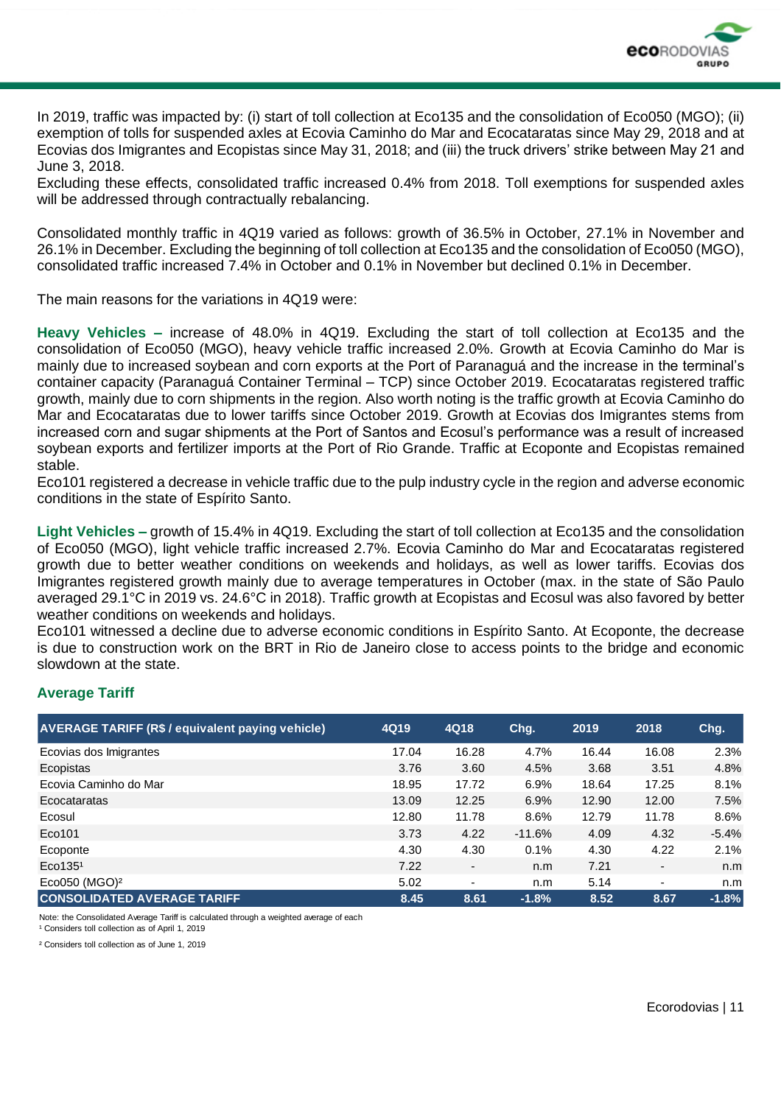

In 2019, traffic was impacted by: (i) start of toll collection at Eco135 and the consolidation of Eco050 (MGO); (ii) exemption of tolls for suspended axles at Ecovia Caminho do Mar and Ecocataratas since May 29, 2018 and at Ecovias dos Imigrantes and Ecopistas since May 31, 2018; and (iii) the truck drivers' strike between May 21 and June 3, 2018.

Excluding these effects, consolidated traffic increased 0.4% from 2018. Toll exemptions for suspended axles will be addressed through contractually rebalancing.

Consolidated monthly traffic in 4Q19 varied as follows: growth of 36.5% in October, 27.1% in November and 26.1% in December. Excluding the beginning of toll collection at Eco135 and the consolidation of Eco050 (MGO), consolidated traffic increased 7.4% in October and 0.1% in November but declined 0.1% in December.

The main reasons for the variations in 4Q19 were:

**Heavy Vehicles –** increase of 48.0% in 4Q19. Excluding the start of toll collection at Eco135 and the consolidation of Eco050 (MGO), heavy vehicle traffic increased 2.0%. Growth at Ecovia Caminho do Mar is mainly due to increased soybean and corn exports at the Port of Paranaguá and the increase in the terminal's container capacity (Paranaguá Container Terminal – TCP) since October 2019. Ecocataratas registered traffic growth, mainly due to corn shipments in the region. Also worth noting is the traffic growth at Ecovia Caminho do Mar and Ecocataratas due to lower tariffs since October 2019. Growth at Ecovias dos Imigrantes stems from increased corn and sugar shipments at the Port of Santos and Ecosul's performance was a result of increased soybean exports and fertilizer imports at the Port of Rio Grande. Traffic at Ecoponte and Ecopistas remained stable.

Eco101 registered a decrease in vehicle traffic due to the pulp industry cycle in the region and adverse economic conditions in the state of Espírito Santo.

**Light Vehicles –** growth of 15.4% in 4Q19. Excluding the start of toll collection at Eco135 and the consolidation of Eco050 (MGO), light vehicle traffic increased 2.7%. Ecovia Caminho do Mar and Ecocataratas registered growth due to better weather conditions on weekends and holidays, as well as lower tariffs. Ecovias dos Imigrantes registered growth mainly due to average temperatures in October (max. in the state of São Paulo averaged 29.1°C in 2019 vs. 24.6°C in 2018). Traffic growth at Ecopistas and Ecosul was also favored by better weather conditions on weekends and holidays.

Eco101 witnessed a decline due to adverse economic conditions in Espírito Santo. At Ecoponte, the decrease is due to construction work on the BRT in Rio de Janeiro close to access points to the bridge and economic slowdown at the state.

#### **Average Tariff**

| <b>AVERAGE TARIFF (R\$ / equivalent paying vehicle)</b> | 4Q19  | 4Q18  | Chg.     | 2019  | 2018  | Chg.    |
|---------------------------------------------------------|-------|-------|----------|-------|-------|---------|
| Ecovias dos Imigrantes                                  | 17.04 | 16.28 | 4.7%     | 16.44 | 16.08 | 2.3%    |
| Ecopistas                                               | 3.76  | 3.60  | 4.5%     | 3.68  | 3.51  | 4.8%    |
| Ecovia Caminho do Mar                                   | 18.95 | 17.72 | 6.9%     | 18.64 | 17.25 | 8.1%    |
| Ecocataratas                                            | 13.09 | 12.25 | 6.9%     | 12.90 | 12.00 | 7.5%    |
| Ecosul                                                  | 12.80 | 11.78 | 8.6%     | 12.79 | 11.78 | 8.6%    |
| Eco101                                                  | 3.73  | 4.22  | $-11.6%$ | 4.09  | 4.32  | $-5.4%$ |
| Ecoponte                                                | 4.30  | 4.30  | 0.1%     | 4.30  | 4.22  | 2.1%    |
| Eco135 <sup>1</sup>                                     | 7.22  | ٠     | n.m      | 7.21  |       | n.m     |
| Eco050 ( $MGO$ ) <sup>2</sup>                           | 5.02  | ۰     | n.m      | 5.14  | ٠     | n.m     |
| <b>CONSOLIDATED AVERAGE TARIFF</b>                      | 8.45  | 8.61  | $-1.8%$  | 8.52  | 8.67  | $-1.8%$ |

Note: the Consolidated Average Tariff is calculated through a weighted average of each

<sup>1</sup> Considers toll collection as of April 1, 2019

² Considers toll collection as of June 1, 2019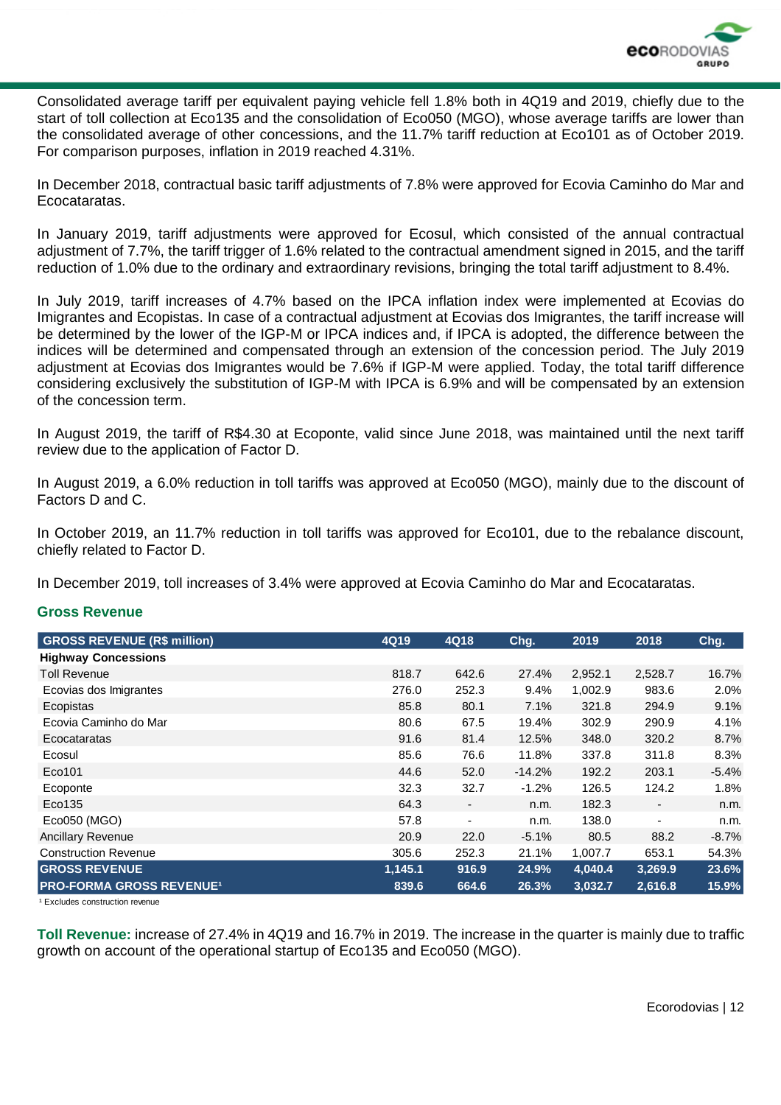

Consolidated average tariff per equivalent paying vehicle fell 1.8% both in 4Q19 and 2019, chiefly due to the start of toll collection at Eco135 and the consolidation of Eco050 (MGO), whose average tariffs are lower than the consolidated average of other concessions, and the 11.7% tariff reduction at Eco101 as of October 2019. For comparison purposes, inflation in 2019 reached 4.31%.

In December 2018, contractual basic tariff adjustments of 7.8% were approved for Ecovia Caminho do Mar and Ecocataratas.

In January 2019, tariff adjustments were approved for Ecosul, which consisted of the annual contractual adjustment of 7.7%, the tariff trigger of 1.6% related to the contractual amendment signed in 2015, and the tariff reduction of 1.0% due to the ordinary and extraordinary revisions, bringing the total tariff adjustment to 8.4%.

In July 2019, tariff increases of 4.7% based on the IPCA inflation index were implemented at Ecovias do Imigrantes and Ecopistas. In case of a contractual adjustment at Ecovias dos Imigrantes, the tariff increase will be determined by the lower of the IGP-M or IPCA indices and, if IPCA is adopted, the difference between the indices will be determined and compensated through an extension of the concession period. The July 2019 adjustment at Ecovias dos Imigrantes would be 7.6% if IGP-M were applied. Today, the total tariff difference considering exclusively the substitution of IGP-M with IPCA is 6.9% and will be compensated by an extension of the concession term.

In August 2019, the tariff of R\$4.30 at Ecoponte, valid since June 2018, was maintained until the next tariff review due to the application of Factor D.

In August 2019, a 6.0% reduction in toll tariffs was approved at Eco050 (MGO), mainly due to the discount of Factors D and C.

In October 2019, an 11.7% reduction in toll tariffs was approved for Eco101, due to the rebalance discount, chiefly related to Factor D.

In December 2019, toll increases of 3.4% were approved at Ecovia Caminho do Mar and Ecocataratas.

#### **Gross Revenue**

| <b>GROSS REVENUE (R\$ million)</b>         | 4Q19    | 4Q18           | Chg.     | 2019    | 2018                     | Chg.    |
|--------------------------------------------|---------|----------------|----------|---------|--------------------------|---------|
| <b>Highway Concessions</b>                 |         |                |          |         |                          |         |
| Toll Revenue                               | 818.7   | 642.6          | 27.4%    | 2,952.1 | 2,528.7                  | 16.7%   |
| Ecovias dos Imigrantes                     | 276.0   | 252.3          | 9.4%     | 1,002.9 | 983.6                    | 2.0%    |
| Ecopistas                                  | 85.8    | 80.1           | 7.1%     | 321.8   | 294.9                    | 9.1%    |
| Ecovia Caminho do Mar                      | 80.6    | 67.5           | 19.4%    | 302.9   | 290.9                    | 4.1%    |
| Ecocataratas                               | 91.6    | 81.4           | 12.5%    | 348.0   | 320.2                    | 8.7%    |
| Ecosul                                     | 85.6    | 76.6           | 11.8%    | 337.8   | 311.8                    | 8.3%    |
| Eco101                                     | 44.6    | 52.0           | $-14.2%$ | 192.2   | 203.1                    | $-5.4%$ |
| Ecoponte                                   | 32.3    | 32.7           | $-1.2%$  | 126.5   | 124.2                    | 1.8%    |
| Eco135                                     | 64.3    |                | n.m.     | 182.3   | $\overline{\phantom{a}}$ | n.m.    |
| Eco050 (MGO)                               | 57.8    | $\blacksquare$ | n.m.     | 138.0   |                          | n.m.    |
| <b>Ancillary Revenue</b>                   | 20.9    | 22.0           | $-5.1%$  | 80.5    | 88.2                     | $-8.7%$ |
| <b>Construction Revenue</b>                | 305.6   | 252.3          | 21.1%    | 1,007.7 | 653.1                    | 54.3%   |
| <b>GROSS REVENUE</b>                       | 1,145.1 | 916.9          | 24.9%    | 4,040.4 | 3,269.9                  | 23.6%   |
| <b>PRO-FORMA GROSS REVENUE<sup>1</sup></b> | 839.6   | 664.6          | 26.3%    | 3,032.7 | 2,616.8                  | 15.9%   |

<sup>1</sup> Excludes construction revenue

**Toll Revenue:** increase of 27.4% in 4Q19 and 16.7% in 2019. The increase in the quarter is mainly due to traffic growth on account of the operational startup of Eco135 and Eco050 (MGO).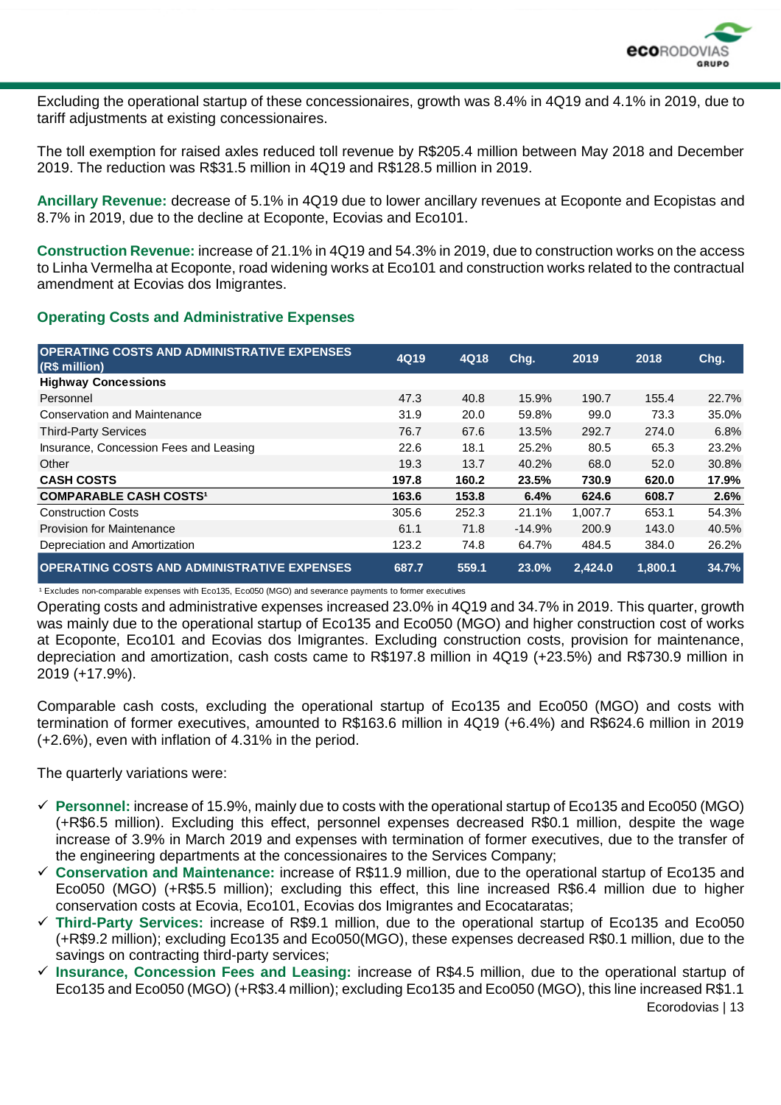

Excluding the operational startup of these concessionaires, growth was 8.4% in 4Q19 and 4.1% in 2019, due to tariff adjustments at existing concessionaires.

The toll exemption for raised axles reduced toll revenue by R\$205.4 million between May 2018 and December 2019. The reduction was R\$31.5 million in 4Q19 and R\$128.5 million in 2019.

**Ancillary Revenue:** decrease of 5.1% in 4Q19 due to lower ancillary revenues at Ecoponte and Ecopistas and 8.7% in 2019, due to the decline at Ecoponte, Ecovias and Eco101.

**Construction Revenue:** increase of 21.1% in 4Q19 and 54.3% in 2019, due to construction works on the access to Linha Vermelha at Ecoponte, road widening works at Eco101 and construction works related to the contractual amendment at Ecovias dos Imigrantes.

#### **Operating Costs and Administrative Expenses**

| <b>OPERATING COSTS AND ADMINISTRATIVE EXPENSES</b><br>(R\$ million) | 4Q19  | 4Q18  | Chg.     | 2019    | 2018    | Chg.  |
|---------------------------------------------------------------------|-------|-------|----------|---------|---------|-------|
| <b>Highway Concessions</b>                                          |       |       |          |         |         |       |
| Personnel                                                           | 47.3  | 40.8  | 15.9%    | 190.7   | 155.4   | 22.7% |
| <b>Conservation and Maintenance</b>                                 | 31.9  | 20.0  | 59.8%    | 99.0    | 73.3    | 35.0% |
| <b>Third-Party Services</b>                                         | 76.7  | 67.6  | 13.5%    | 292.7   | 274.0   | 6.8%  |
| Insurance, Concession Fees and Leasing                              | 22.6  | 18.1  | 25.2%    | 80.5    | 65.3    | 23.2% |
| Other                                                               | 19.3  | 13.7  | 40.2%    | 68.0    | 52.0    | 30.8% |
| <b>CASH COSTS</b>                                                   | 197.8 | 160.2 | 23.5%    | 730.9   | 620.0   | 17.9% |
| <b>COMPARABLE CASH COSTS1</b>                                       | 163.6 | 153.8 | 6.4%     | 624.6   | 608.7   | 2.6%  |
| <b>Construction Costs</b>                                           | 305.6 | 252.3 | 21.1%    | 1,007.7 | 653.1   | 54.3% |
| Provision for Maintenance                                           | 61.1  | 71.8  | $-14.9%$ | 200.9   | 143.0   | 40.5% |
| Depreciation and Amortization                                       | 123.2 | 74.8  | 64.7%    | 484.5   | 384.0   | 26.2% |
| <b>OPERATING COSTS AND ADMINISTRATIVE EXPENSES</b>                  | 687.7 | 559.1 | 23.0%    | 2,424.0 | 1,800.1 | 34.7% |

<sup>1</sup> Excludes non-comparable expenses with Eco135, Eco050 (MGO) and severance payments to former executives

Operating costs and administrative expenses increased 23.0% in 4Q19 and 34.7% in 2019. This quarter, growth was mainly due to the operational startup of Eco135 and Eco050 (MGO) and higher construction cost of works at Ecoponte, Eco101 and Ecovias dos Imigrantes. Excluding construction costs, provision for maintenance, depreciation and amortization, cash costs came to R\$197.8 million in 4Q19 (+23.5%) and R\$730.9 million in 2019 (+17.9%).

Comparable cash costs, excluding the operational startup of Eco135 and Eco050 (MGO) and costs with termination of former executives, amounted to R\$163.6 million in 4Q19 (+6.4%) and R\$624.6 million in 2019 (+2.6%), even with inflation of 4.31% in the period.

The quarterly variations were:

- ✓ **Personnel:** increase of 15.9%, mainly due to costs with the operational startup of Eco135 and Eco050 (MGO) (+R\$6.5 million). Excluding this effect, personnel expenses decreased R\$0.1 million, despite the wage increase of 3.9% in March 2019 and expenses with termination of former executives, due to the transfer of the engineering departments at the concessionaires to the Services Company;
- ✓ **Conservation and Maintenance:** increase of R\$11.9 million, due to the operational startup of Eco135 and Eco050 (MGO) (+R\$5.5 million); excluding this effect, this line increased R\$6.4 million due to higher conservation costs at Ecovia, Eco101, Ecovias dos Imigrantes and Ecocataratas;
- ✓ **Third-Party Services:** increase of R\$9.1 million, due to the operational startup of Eco135 and Eco050 (+R\$9.2 million); excluding Eco135 and Eco050(MGO), these expenses decreased R\$0.1 million, due to the savings on contracting third-party services;
- ✓ **Insurance, Concession Fees and Leasing:** increase of R\$4.5 million, due to the operational startup of Eco135 and Eco050 (MGO) (+R\$3.4 million); excluding Eco135 and Eco050 (MGO), this line increased R\$1.1

Ecorodovias | 13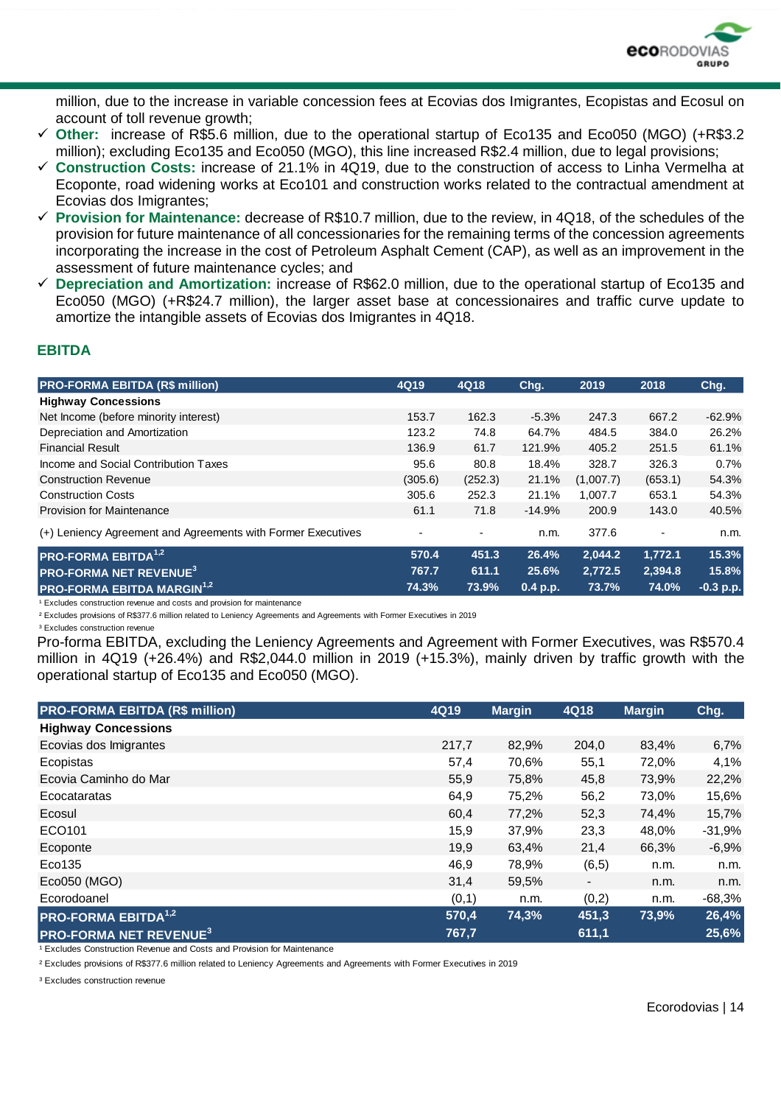

million, due to the increase in variable concession fees at Ecovias dos Imigrantes, Ecopistas and Ecosul on account of toll revenue growth;

- ✓ **Other:** increase of R\$5.6 million, due to the operational startup of Eco135 and Eco050 (MGO) (+R\$3.2 million); excluding Eco135 and Eco050 (MGO), this line increased R\$2.4 million, due to legal provisions;
- ✓ **Construction Costs:** increase of 21.1% in 4Q19, due to the construction of access to Linha Vermelha at Ecoponte, road widening works at Eco101 and construction works related to the contractual amendment at Ecovias dos Imigrantes;
- ✓ **Provision for Maintenance:** decrease of R\$10.7 million, due to the review, in 4Q18, of the schedules of the provision for future maintenance of all concessionaries for the remaining terms of the concession agreements incorporating the increase in the cost of Petroleum Asphalt Cement (CAP), as well as an improvement in the assessment of future maintenance cycles; and
- ✓ **Depreciation and Amortization:** increase of R\$62.0 million, due to the operational startup of Eco135 and Eco050 (MGO) (+R\$24.7 million), the larger asset base at concessionaires and traffic curve update to amortize the intangible assets of Ecovias dos Imigrantes in 4Q18.

#### **EBITDA**

| <b>PRO-FORMA EBITDA (R\$ million)</b>                        | 4Q19           | 4Q18    | Chg.     | 2019      | 2018    | Chg.        |
|--------------------------------------------------------------|----------------|---------|----------|-----------|---------|-------------|
| <b>Highway Concessions</b>                                   |                |         |          |           |         |             |
| Net Income (before minority interest)                        | 153.7          | 162.3   | $-5.3%$  | 247.3     | 667.2   | $-62.9%$    |
| Depreciation and Amortization                                | 123.2          | 74.8    | 64.7%    | 484.5     | 384.0   | 26.2%       |
| <b>Financial Result</b>                                      | 136.9          | 61.7    | 121.9%   | 405.2     | 251.5   | 61.1%       |
| Income and Social Contribution Taxes                         | 95.6           | 80.8    | 18.4%    | 328.7     | 326.3   | 0.7%        |
| <b>Construction Revenue</b>                                  | (305.6)        | (252.3) | 21.1%    | (1,007.7) | (653.1) | 54.3%       |
| <b>Construction Costs</b>                                    | 305.6          | 252.3   | 21.1%    | 1,007.7   | 653.1   | 54.3%       |
| <b>Provision for Maintenance</b>                             | 61.1           | 71.8    | $-14.9%$ | 200.9     | 143.0   | 40.5%       |
| (+) Leniency Agreement and Agreements with Former Executives | $\blacksquare$ |         | n.m.     | 377.6     |         | n.m.        |
| <b>PRO-FORMA EBITDA</b> <sup>1,2</sup>                       | 570.4          | 451.3   | 26.4%    | 2,044.2   | 1,772.1 | 15.3%       |
| <b>PRO-FORMA NET REVENUE<sup>3</sup></b>                     | 767.7          | 611.1   | 25.6%    | 2,772.5   | 2,394.8 | 15.8%       |
| <b>PRO-FORMA EBITDA MARGIN<sup>1,2</sup></b>                 | 74.3%          | 73.9%   | 0.4 p.p. | 73.7%     | 74.0%   | $-0.3$ p.p. |

<sup>1</sup> Excludes construction revenue and costs and provision for maintenance

² Excludes provisions of R\$377.6 million related to Leniency Agreements and Agreements with Former Executives in 2019

<sup>3</sup> Excludes construction revenue

Pro-forma EBITDA, excluding the Leniency Agreements and Agreement with Former Executives, was R\$570.4 million in 4Q19 (+26.4%) and R\$2,044.0 million in 2019 (+15.3%), mainly driven by traffic growth with the operational startup of Eco135 and Eco050 (MGO).

| <b>PRO-FORMA EBITDA (R\$ million)</b>    | 4Q19  | <b>Margin</b> | 4Q18                     | <b>Margin</b> | Chg.     |
|------------------------------------------|-------|---------------|--------------------------|---------------|----------|
| <b>Highway Concessions</b>               |       |               |                          |               |          |
| Ecovias dos Imigrantes                   | 217,7 | 82,9%         | 204.0                    | 83,4%         | 6,7%     |
| Ecopistas                                | 57,4  | 70,6%         | 55,1                     | 72,0%         | 4,1%     |
| Ecovia Caminho do Mar                    | 55,9  | 75,8%         | 45,8                     | 73,9%         | 22,2%    |
| Ecocataratas                             | 64,9  | 75,2%         | 56,2                     | 73,0%         | 15,6%    |
| Ecosul                                   | 60,4  | 77,2%         | 52,3                     | 74,4%         | 15,7%    |
| ECO101                                   | 15,9  | 37,9%         | 23,3                     | 48,0%         | $-31,9%$ |
| Ecoponte                                 | 19,9  | 63,4%         | 21,4                     | 66,3%         | $-6,9%$  |
| Eco135                                   | 46,9  | 78,9%         | (6, 5)                   | n.m.          | n.m.     |
| Eco050 (MGO)                             | 31,4  | 59,5%         | $\overline{\phantom{a}}$ | n.m.          | n.m.     |
| Ecorodoanel                              | (0,1) | n.m.          | (0,2)                    | n.m.          | $-68,3%$ |
| <b>PRO-FORMA EBITDA</b> <sup>1,2</sup>   | 570,4 | 74,3%         | 451,3                    | 73,9%         | 26,4%    |
| <b>PRO-FORMA NET REVENUE<sup>3</sup></b> | 767,7 |               | 611,1                    |               | 25,6%    |

<sup>1</sup> Excludes Construction Revenue and Costs and Provision for Maintenance

² Excludes provisions of R\$377.6 million related to Leniency Agreements and Agreements with Former Executives in 2019

<sup>3</sup> Excludes construction revenue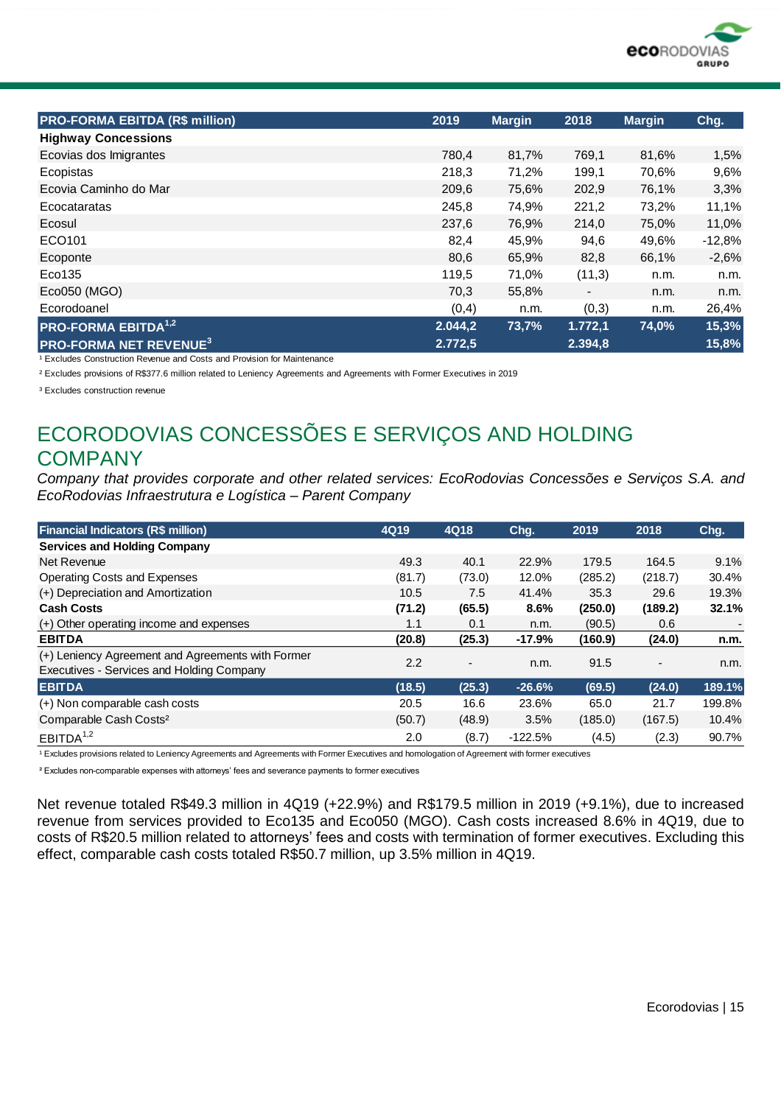

| <b>PRO-FORMA EBITDA (R\$ million)</b>    | 2019    | <b>Margin</b> | 2018                     | <b>Margin</b> | Chg.     |
|------------------------------------------|---------|---------------|--------------------------|---------------|----------|
| <b>Highway Concessions</b>               |         |               |                          |               |          |
| Ecovias dos Imigrantes                   | 780,4   | 81,7%         | 769,1                    | 81,6%         | 1,5%     |
| Ecopistas                                | 218,3   | 71,2%         | 199,1                    | 70,6%         | 9,6%     |
| Ecovia Caminho do Mar                    | 209,6   | 75,6%         | 202,9                    | 76,1%         | 3,3%     |
| Ecocataratas                             | 245,8   | 74,9%         | 221,2                    | 73,2%         | 11,1%    |
| Ecosul                                   | 237,6   | 76,9%         | 214,0                    | 75,0%         | 11,0%    |
| ECO101                                   | 82,4    | 45,9%         | 94,6                     | 49,6%         | $-12,8%$ |
| Ecoponte                                 | 80,6    | 65,9%         | 82,8                     | 66,1%         | $-2,6%$  |
| Eco135                                   | 119,5   | 71,0%         | (11,3)                   | n.m.          | n.m.     |
| Eco050 (MGO)                             | 70,3    | 55,8%         | $\overline{\phantom{a}}$ | n.m.          | n.m.     |
| Ecorodoanel                              | (0,4)   | n.m.          | (0,3)                    | n.m.          | 26,4%    |
| <b>PRO-FORMA EBITDA</b> <sup>1,2</sup>   | 2.044,2 | 73,7%         | 1.772,1                  | 74,0%         | 15,3%    |
| <b>PRO-FORMA NET REVENUE<sup>3</sup></b> | 2.772,5 |               | 2.394,8                  |               | 15,8%    |

<sup>1</sup> Excludes Construction Revenue and Costs and Provision for Maintenance

² Excludes provisions of R\$377.6 million related to Leniency Agreements and Agreements with Former Executives in 2019

<sup>3</sup> Excludes construction revenue

## ECORODOVIAS CONCESSÕES E SERVIÇOS AND HOLDING **COMPANY**

*Company that provides corporate and other related services: EcoRodovias Concessões e Serviços S.A. and EcoRodovias Infraestrutura e Logística – Parent Company*

| <b>Financial Indicators (R\$ million)</b>                                                      | 4Q19   | 4Q18                     | Chg.      | 2019    | 2018    | Chg.   |
|------------------------------------------------------------------------------------------------|--------|--------------------------|-----------|---------|---------|--------|
| <b>Services and Holding Company</b>                                                            |        |                          |           |         |         |        |
| Net Revenue                                                                                    | 49.3   | 40.1                     | 22.9%     | 179.5   | 164.5   | 9.1%   |
| <b>Operating Costs and Expenses</b>                                                            | (81.7) | (73.0)                   | 12.0%     | (285.2) | (218.7) | 30.4%  |
| (+) Depreciation and Amortization                                                              | 10.5   | 7.5                      | 41.4%     | 35.3    | 29.6    | 19.3%  |
| <b>Cash Costs</b>                                                                              | (71.2) | (65.5)                   | 8.6%      | (250.0) | (189.2) | 32.1%  |
| (+) Other operating income and expenses                                                        | 1.1    | 0.1                      | n.m.      | (90.5)  | 0.6     |        |
| <b>EBITDA</b>                                                                                  | (20.8) | (25.3)                   | $-17.9%$  | (160.9) | (24.0)  | n.m.   |
| (+) Leniency Agreement and Agreements with Former<br>Executives - Services and Holding Company | 2.2    | $\overline{\phantom{a}}$ | n.m.      | 91.5    |         | n.m.   |
| <b>EBITDA</b>                                                                                  | (18.5) | (25.3)                   | $-26.6%$  | (69.5)  | (24.0)  | 189.1% |
| (+) Non comparable cash costs                                                                  | 20.5   | 16.6                     | 23.6%     | 65.0    | 21.7    | 199.8% |
| Comparable Cash Costs <sup>2</sup>                                                             | (50.7) | (48.9)                   | 3.5%      | (185.0) | (167.5) | 10.4%  |
| EBITDA <sup>1,2</sup>                                                                          | 2.0    | (8.7)                    | $-122.5%$ | (4.5)   | (2.3)   | 90.7%  |

<sup>1</sup> Excludes provisions related to Leniency Agreements and Agreements with Former Executives and homologation of Agreement with former executives

² Excludes non-comparable expenses with attorneys' fees and severance payments to former executives

Net revenue totaled R\$49.3 million in 4Q19 (+22.9%) and R\$179.5 million in 2019 (+9.1%), due to increased revenue from services provided to Eco135 and Eco050 (MGO). Cash costs increased 8.6% in 4Q19, due to costs of R\$20.5 million related to attorneys' fees and costs with termination of former executives. Excluding this effect, comparable cash costs totaled R\$50.7 million, up 3.5% million in 4Q19.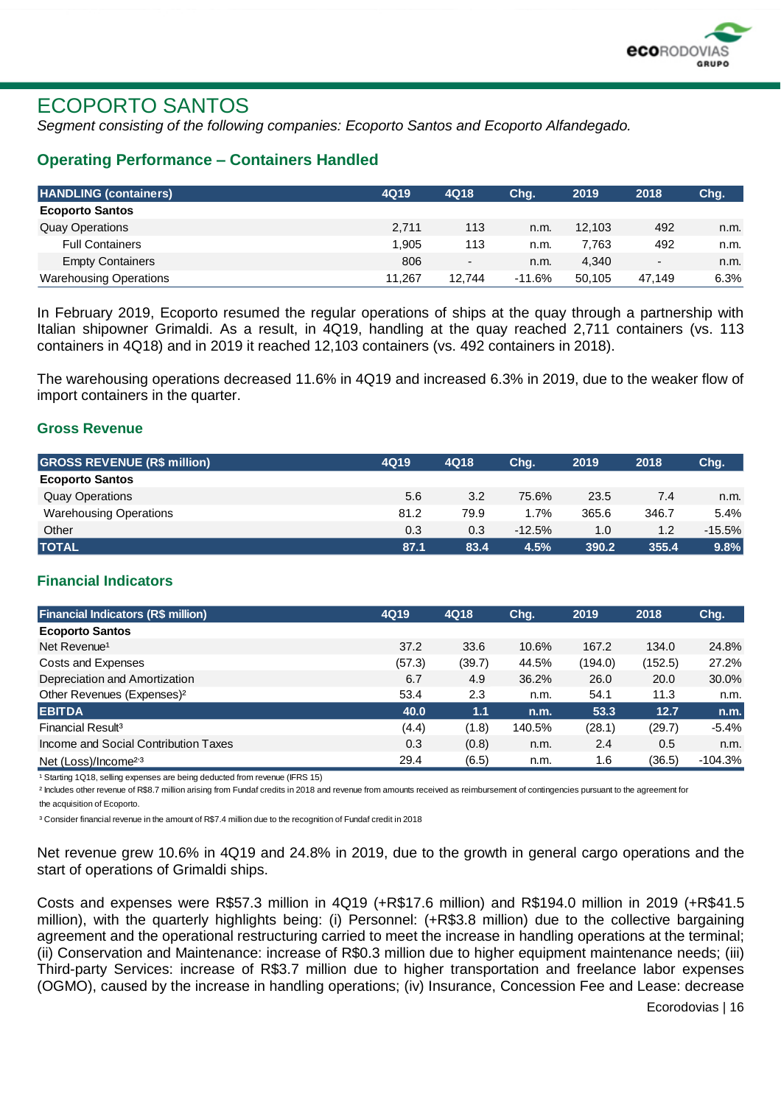

## ECOPORTO SANTOS

*Segment consisting of the following companies: Ecoporto Santos and Ecoporto Alfandegado.*

#### **Operating Performance – Containers Handled**

| <b>HANDLING (containers)</b>  | 4Q19   | 4Q18                     | Chg.     | 2019   | 2018                     | Chg. |
|-------------------------------|--------|--------------------------|----------|--------|--------------------------|------|
| <b>Ecoporto Santos</b>        |        |                          |          |        |                          |      |
| <b>Quay Operations</b>        | 2.711  | 113                      | n.m.     | 12.103 | 492                      | n.m. |
| <b>Full Containers</b>        | 1.905  | 113                      | n.m.     | 7.763  | 492                      | n.m. |
| <b>Empty Containers</b>       | 806    | $\overline{\phantom{a}}$ | n.m.     | 4.340  | $\overline{\phantom{a}}$ | n.m. |
| <b>Warehousing Operations</b> | 11.267 | 12.744                   | $-11.6%$ | 50.105 | 47.149                   | 6.3% |

In February 2019, Ecoporto resumed the regular operations of ships at the quay through a partnership with Italian shipowner Grimaldi. As a result, in 4Q19, handling at the quay reached 2,711 containers (vs. 113 containers in 4Q18) and in 2019 it reached 12,103 containers (vs. 492 containers in 2018).

The warehousing operations decreased 11.6% in 4Q19 and increased 6.3% in 2019, due to the weaker flow of import containers in the quarter.

#### **Gross Revenue**

| <b>GROSS REVENUE (R\$ million)</b> | 4Q19 | 4Q18 | Chg.     | 2019  | 2018  | Chg.     |
|------------------------------------|------|------|----------|-------|-------|----------|
| <b>Ecoporto Santos</b>             |      |      |          |       |       |          |
| <b>Quay Operations</b>             | 5.6  | 3.2  | 75.6%    | 23.5  | 7.4   | n.m.     |
| <b>Warehousing Operations</b>      | 81.2 | 79.9 | 1.7%     | 365.6 | 346.7 | 5.4%     |
| Other                              | 0.3  | 0.3  | $-12.5%$ | 1.0   | 1.2   | $-15.5%$ |
| <b>TOTAL</b>                       | 87.1 | 83.4 | 4.5%     | 390.2 | 355.4 | 9.8%     |

#### **Financial Indicators**

| <b>Financial Indicators (R\$ million)</b>  | 4Q19   | 4Q18   | Chq.   | 2019    | 2018    | Chg.      |
|--------------------------------------------|--------|--------|--------|---------|---------|-----------|
| <b>Ecoporto Santos</b>                     |        |        |        |         |         |           |
| Net Revenue <sup>1</sup>                   | 37.2   | 33.6   | 10.6%  | 167.2   | 134.0   | 24.8%     |
| Costs and Expenses                         | (57.3) | (39.7) | 44.5%  | (194.0) | (152.5) | 27.2%     |
| Depreciation and Amortization              | 6.7    | 4.9    | 36.2%  | 26.0    | 20.0    | 30.0%     |
| Other Revenues (Expenses) <sup>2</sup>     | 53.4   | 2.3    | n.m.   | 54.1    | 11.3    | n.m.      |
| <b>EBITDA</b>                              | 40.0   | 1.1    | n.m.   | 53.3    | 12.7    | n.m.      |
| Financial Result <sup>3</sup>              | (4.4)  | (1.8)  | 140.5% | (28.1)  | (29.7)  | $-5.4%$   |
| Income and Social Contribution Taxes       | 0.3    | (0.8)  | n.m.   | 2.4     | 0.5     | n.m.      |
| Net (Loss)/Income <sup>2<sub>3</sub></sup> | 29.4   | (6.5)  | n.m.   | 1.6     | (36.5)  | $-104.3%$ |

<sup>1</sup> Starting 1Q18, selling expenses are being deducted from revenue (IFRS 15)

<sup>2</sup> Includes other revenue of R\$8.7 million arising from Fundaf credits in 2018 and revenue from amounts received as reimbursement of contingencies pursuant to the agreement for

the acquisition of Ecoporto.

³ Consider financial revenue in the amount of R\$7.4 million due to the recognition of Fundaf credit in 2018

Net revenue grew 10.6% in 4Q19 and 24.8% in 2019, due to the growth in general cargo operations and the start of operations of Grimaldi ships.

Costs and expenses were R\$57.3 million in 4Q19 (+R\$17.6 million) and R\$194.0 million in 2019 (+R\$41.5 million), with the quarterly highlights being: (i) Personnel: (+R\$3.8 million) due to the collective bargaining agreement and the operational restructuring carried to meet the increase in handling operations at the terminal; (ii) Conservation and Maintenance: increase of R\$0.3 million due to higher equipment maintenance needs; (iii) Third-party Services: increase of R\$3.7 million due to higher transportation and freelance labor expenses (OGMO), caused by the increase in handling operations; (iv) Insurance, Concession Fee and Lease: decrease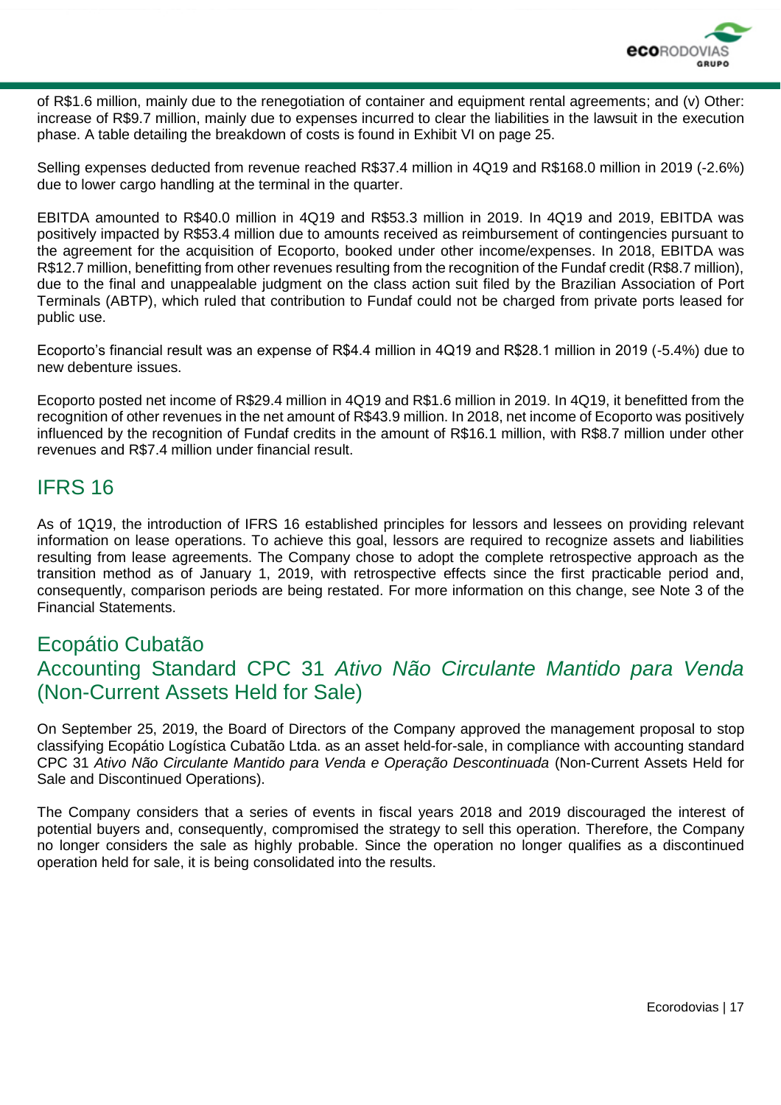

of R\$1.6 million, mainly due to the renegotiation of container and equipment rental agreements; and (v) Other: increase of R\$9.7 million, mainly due to expenses incurred to clear the liabilities in the lawsuit in the execution phase. A table detailing the breakdown of costs is found in Exhibit VI on page 25.

Selling expenses deducted from revenue reached R\$37.4 million in 4Q19 and R\$168.0 million in 2019 (-2.6%) due to lower cargo handling at the terminal in the quarter.

EBITDA amounted to R\$40.0 million in 4Q19 and R\$53.3 million in 2019. In 4Q19 and 2019, EBITDA was positively impacted by R\$53.4 million due to amounts received as reimbursement of contingencies pursuant to the agreement for the acquisition of Ecoporto, booked under other income/expenses. In 2018, EBITDA was R\$12.7 million, benefitting from other revenues resulting from the recognition of the Fundaf credit (R\$8.7 million), due to the final and unappealable judgment on the class action suit filed by the Brazilian Association of Port Terminals (ABTP), which ruled that contribution to Fundaf could not be charged from private ports leased for public use.

Ecoporto's financial result was an expense of R\$4.4 million in 4Q19 and R\$28.1 million in 2019 (-5.4%) due to new debenture issues.

Ecoporto posted net income of R\$29.4 million in 4Q19 and R\$1.6 million in 2019. In 4Q19, it benefitted from the recognition of other revenues in the net amount of R\$43.9 million. In 2018, net income of Ecoporto was positively influenced by the recognition of Fundaf credits in the amount of R\$16.1 million, with R\$8.7 million under other revenues and R\$7.4 million under financial result.

### IFRS 16

As of 1Q19, the introduction of IFRS 16 established principles for lessors and lessees on providing relevant information on lease operations. To achieve this goal, lessors are required to recognize assets and liabilities resulting from lease agreements. The Company chose to adopt the complete retrospective approach as the transition method as of January 1, 2019, with retrospective effects since the first practicable period and, consequently, comparison periods are being restated. For more information on this change, see Note 3 of the Financial Statements.

### Ecopátio Cubatão Accounting Standard CPC 31 *Ativo Não Circulante Mantido para Venda* (Non-Current Assets Held for Sale)

On September 25, 2019, the Board of Directors of the Company approved the management proposal to stop classifying Ecopátio Logística Cubatão Ltda. as an asset held-for-sale, in compliance with accounting standard CPC 31 *Ativo Não Circulante Mantido para Venda e Operação Descontinuada* (Non-Current Assets Held for Sale and Discontinued Operations).

The Company considers that a series of events in fiscal years 2018 and 2019 discouraged the interest of potential buyers and, consequently, compromised the strategy to sell this operation. Therefore, the Company no longer considers the sale as highly probable. Since the operation no longer qualifies as a discontinued operation held for sale, it is being consolidated into the results.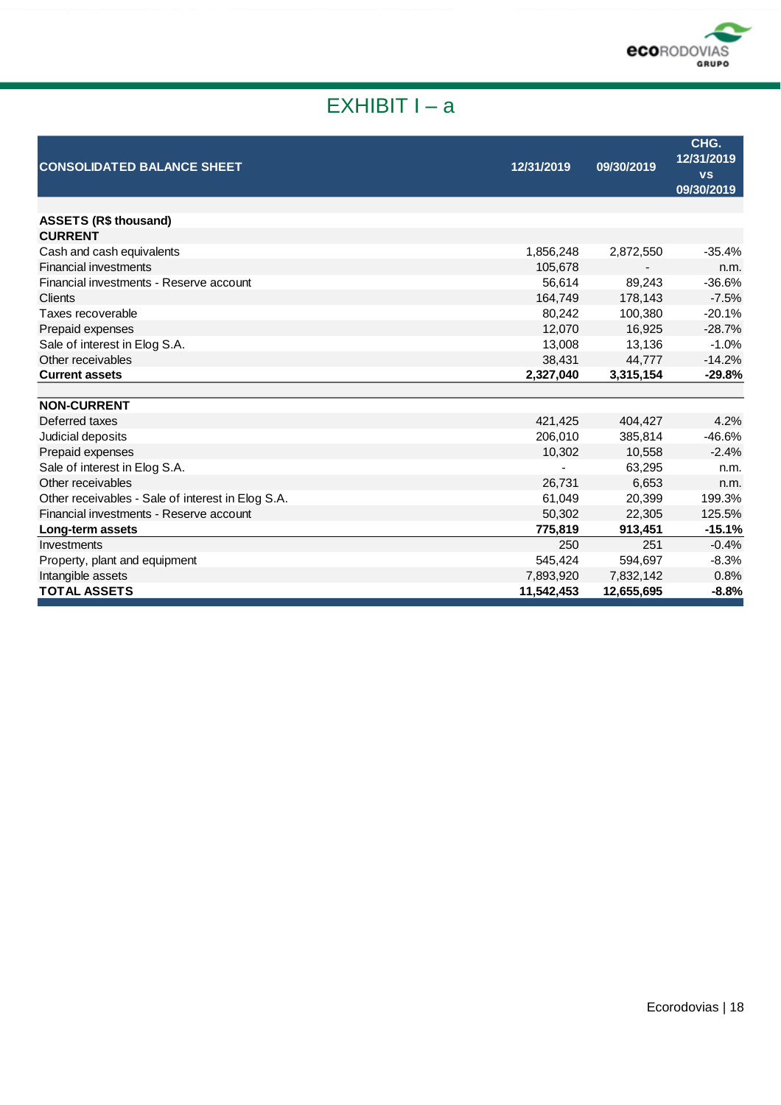

# EXHIBIT I – a

| <b>CONSOLIDATED BALANCE SHEET</b>                 | 12/31/2019 | 09/30/2019 | CHG.<br>12/31/2019<br><b>VS</b><br>09/30/2019 |
|---------------------------------------------------|------------|------------|-----------------------------------------------|
|                                                   |            |            |                                               |
| <b>ASSETS (R\$ thousand)</b>                      |            |            |                                               |
| <b>CURRENT</b>                                    |            |            |                                               |
| Cash and cash equivalents                         | 1,856,248  | 2,872,550  | $-35.4%$                                      |
| <b>Financial investments</b>                      | 105,678    |            | n.m.                                          |
| Financial investments - Reserve account           | 56,614     | 89.243     | $-36.6%$                                      |
| Clients                                           | 164,749    | 178,143    | $-7.5%$                                       |
| Taxes recoverable                                 | 80,242     | 100,380    | $-20.1%$                                      |
| Prepaid expenses                                  | 12,070     | 16.925     | $-28.7%$                                      |
| Sale of interest in Elog S.A.                     | 13,008     | 13,136     | $-1.0%$                                       |
| Other receivables                                 | 38,431     | 44.777     | $-14.2%$                                      |
| <b>Current assets</b>                             | 2,327,040  | 3,315,154  | $-29.8%$                                      |
| <b>NON-CURRENT</b>                                |            |            |                                               |
| Deferred taxes                                    | 421,425    | 404,427    | 4.2%                                          |
| Judicial deposits                                 | 206,010    | 385,814    | $-46.6%$                                      |
| Prepaid expenses                                  | 10,302     | 10,558     | $-2.4%$                                       |
| Sale of interest in Elog S.A.                     |            | 63,295     | n.m.                                          |
| Other receivables                                 | 26,731     | 6,653      | n.m.                                          |
| Other receivables - Sale of interest in Elog S.A. | 61,049     | 20,399     | 199.3%                                        |
| Financial investments - Reserve account           | 50,302     | 22,305     | 125.5%                                        |
| Long-term assets                                  | 775,819    | 913,451    | $-15.1%$                                      |
| Investments                                       | 250        | 251        | $-0.4%$                                       |
| Property, plant and equipment                     | 545,424    | 594,697    | $-8.3%$                                       |
| Intangible assets                                 | 7,893,920  | 7,832,142  | 0.8%                                          |
| <b>TOTAL ASSETS</b>                               | 11,542,453 | 12,655,695 | $-8.8%$                                       |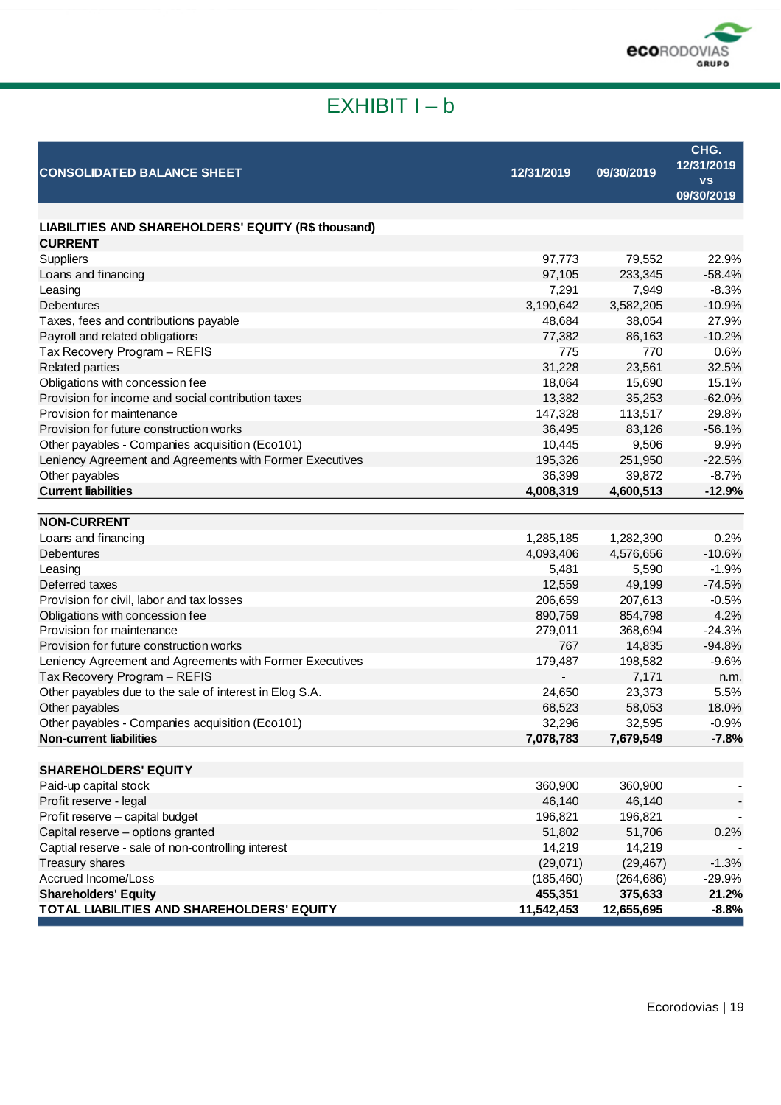

# EXHIBIT I – b

| <b>CONSOLIDATED BALANCE SHEET</b>                                                       | 12/31/2019 | 09/30/2019       | CHG.<br>12/31/2019<br><b>VS</b><br>09/30/2019 |
|-----------------------------------------------------------------------------------------|------------|------------------|-----------------------------------------------|
|                                                                                         |            |                  |                                               |
| LIABILITIES AND SHAREHOLDERS' EQUITY (R\$ thousand)                                     |            |                  |                                               |
| <b>CURRENT</b>                                                                          |            |                  |                                               |
| Suppliers                                                                               | 97,773     | 79,552           | 22.9%                                         |
| Loans and financing                                                                     | 97,105     | 233,345          | $-58.4%$                                      |
| Leasing                                                                                 | 7,291      | 7,949            | $-8.3%$                                       |
| <b>Debentures</b>                                                                       | 3,190,642  | 3,582,205        | $-10.9%$                                      |
| Taxes, fees and contributions payable                                                   | 48,684     | 38,054           | 27.9%                                         |
| Payroll and related obligations                                                         | 77,382     | 86,163           | $-10.2%$                                      |
| Tax Recovery Program - REFIS                                                            | 775        | 770              | 0.6%                                          |
| <b>Related parties</b>                                                                  | 31,228     | 23,561           | 32.5%                                         |
| Obligations with concession fee                                                         | 18,064     | 15,690           | 15.1%                                         |
| Provision for income and social contribution taxes                                      | 13,382     | 35,253           | $-62.0%$                                      |
| Provision for maintenance                                                               | 147,328    | 113,517          | 29.8%                                         |
| Provision for future construction works                                                 | 36,495     | 83,126           | $-56.1%$                                      |
| Other payables - Companies acquisition (Eco101)                                         | 10,445     | 9,506            | 9.9%                                          |
| Leniency Agreement and Agreements with Former Executives                                | 195,326    | 251,950          | $-22.5%$                                      |
| Other payables                                                                          | 36,399     | 39,872           | $-8.7%$                                       |
| <b>Current liabilities</b>                                                              | 4,008,319  | 4,600,513        | $-12.9%$                                      |
|                                                                                         |            |                  |                                               |
| <b>NON-CURRENT</b>                                                                      |            |                  |                                               |
| Loans and financing                                                                     | 1,285,185  | 1,282,390        | 0.2%                                          |
| <b>Debentures</b>                                                                       | 4,093,406  | 4,576,656        | $-10.6%$                                      |
| Leasing                                                                                 | 5,481      | 5,590            | $-1.9%$                                       |
| Deferred taxes                                                                          | 12,559     | 49,199           | $-74.5%$                                      |
| Provision for civil, labor and tax losses                                               | 206,659    | 207,613          | $-0.5%$                                       |
| Obligations with concession fee                                                         | 890,759    | 854,798          | 4.2%                                          |
| Provision for maintenance                                                               | 279,011    | 368,694          | $-24.3%$                                      |
| Provision for future construction works                                                 | 767        | 14,835           | $-94.8%$                                      |
| Leniency Agreement and Agreements with Former Executives                                | 179,487    | 198,582          | $-9.6%$                                       |
| Tax Recovery Program - REFIS                                                            |            | 7,171            | n.m.                                          |
| Other payables due to the sale of interest in Elog S.A.                                 | 24,650     | 23,373           | 5.5%                                          |
| Other payables                                                                          | 68,523     | 58,053           | 18.0%                                         |
| Other payables - Companies acquisition (Eco101)                                         | 32,296     | 32,595           | $-0.9%$                                       |
| <b>Non-current liabilities</b>                                                          | 7,078,783  | 7,679,549        | $-7.8%$                                       |
| <b>SHAREHOLDERS' EQUITY</b>                                                             |            |                  |                                               |
| Paid-up capital stock                                                                   | 360,900    | 360,900          |                                               |
| Profit reserve - legal                                                                  | 46,140     | 46,140           |                                               |
| Profit reserve - capital budget                                                         | 196,821    | 196,821          |                                               |
|                                                                                         | 51,802     |                  |                                               |
| Capital reserve - options granted<br>Captial reserve - sale of non-controlling interest | 14,219     | 51,706<br>14,219 | 0.2%                                          |
| Treasury shares                                                                         | (29,071)   | (29, 467)        | $-1.3%$                                       |
| Accrued Income/Loss                                                                     | (185, 460) | (264, 686)       | $-29.9%$                                      |
| <b>Shareholders' Equity</b>                                                             | 455,351    | 375,633          | 21.2%                                         |
| TOTAL LIABILITIES AND SHAREHOLDERS' EQUITY                                              | 11,542,453 | 12,655,695       | $-8.8%$                                       |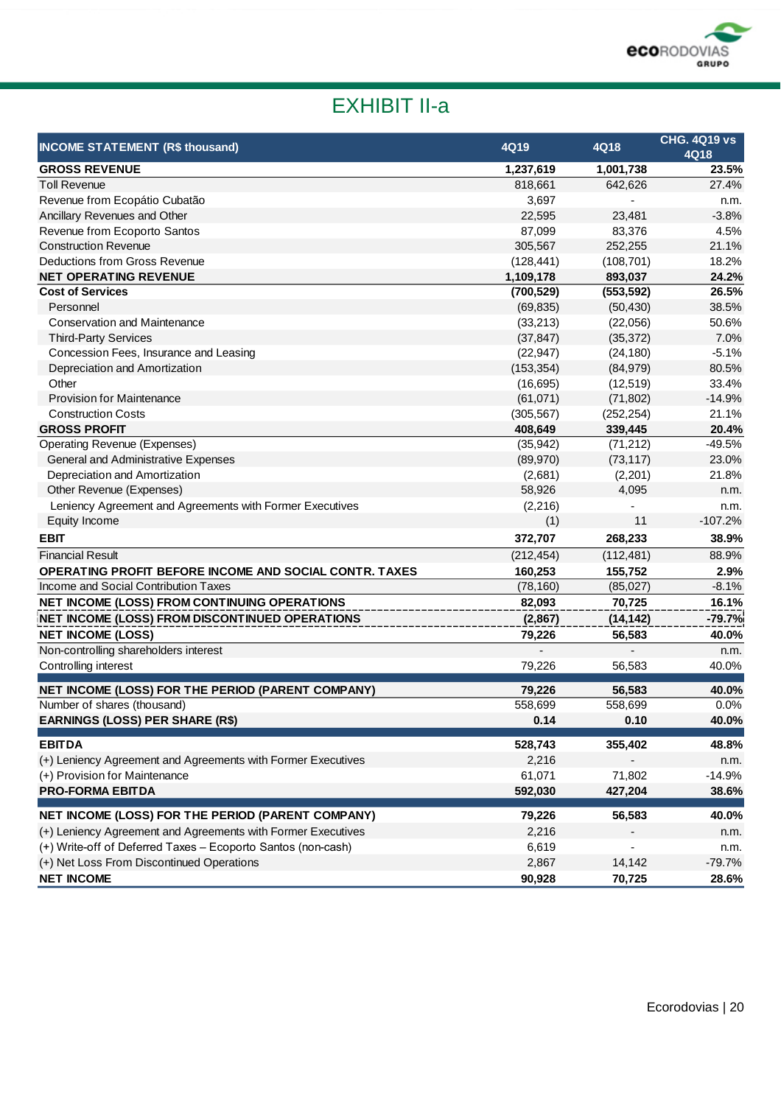

# EXHIBIT II-a

| <b>INCOME STATEMENT (R\$ thousand)</b>                       | 4Q19       | 4Q18       | <b>CHG. 4Q19 vs</b><br>4Q18 |
|--------------------------------------------------------------|------------|------------|-----------------------------|
| <b>GROSS REVENUE</b>                                         | 1,237,619  | 1,001,738  | 23.5%                       |
| <b>Toll Revenue</b>                                          | 818,661    | 642,626    | 27.4%                       |
| Revenue from Ecopátio Cubatão                                | 3,697      |            | n.m.                        |
| Ancillary Revenues and Other                                 | 22,595     | 23,481     | $-3.8%$                     |
| Revenue from Ecoporto Santos                                 | 87,099     | 83,376     | 4.5%                        |
| <b>Construction Revenue</b>                                  | 305,567    | 252,255    | 21.1%                       |
| Deductions from Gross Revenue                                | (128, 441) | (108, 701) | 18.2%                       |
| <b>NET OPERATING REVENUE</b>                                 | 1,109,178  | 893,037    | 24.2%                       |
| <b>Cost of Services</b>                                      | (700, 529) | (553, 592) | 26.5%                       |
| Personnel                                                    | (69, 835)  | (50, 430)  | 38.5%                       |
| <b>Conservation and Maintenance</b>                          | (33, 213)  | (22,056)   | 50.6%                       |
| <b>Third-Party Services</b>                                  | (37, 847)  | (35, 372)  | 7.0%                        |
| Concession Fees, Insurance and Leasing                       | (22, 947)  | (24, 180)  | $-5.1%$                     |
| Depreciation and Amortization                                | (153, 354) | (84, 979)  | 80.5%                       |
| Other                                                        | (16, 695)  | (12, 519)  | 33.4%                       |
| <b>Provision for Maintenance</b>                             | (61,071)   | (71, 802)  | $-14.9%$                    |
| <b>Construction Costs</b>                                    | (305, 567) | (252, 254) | 21.1%                       |
| <b>GROSS PROFIT</b>                                          | 408,649    | 339,445    | 20.4%                       |
| <b>Operating Revenue (Expenses)</b>                          | (35, 942)  | (71, 212)  | $-49.5%$                    |
| <b>General and Administrative Expenses</b>                   | (89, 970)  | (73, 117)  | 23.0%                       |
| Depreciation and Amortization                                | (2,681)    | (2,201)    | 21.8%                       |
| Other Revenue (Expenses)                                     | 58,926     | 4,095      | n.m.                        |
| Leniency Agreement and Agreements with Former Executives     | (2, 216)   |            | n.m.                        |
| Equity Income                                                | (1)        | 11         | $-107.2%$                   |
| <b>EBIT</b>                                                  | 372,707    | 268,233    | 38.9%                       |
| <b>Financial Result</b>                                      | (212, 454) | (112, 481) | 88.9%                       |
| OPERATING PROFIT BEFORE INCOME AND SOCIAL CONTR. TAXES       | 160,253    | 155,752    | 2.9%                        |
| Income and Social Contribution Taxes                         | (78, 160)  | (85,027)   | $-8.1%$                     |
| NET INCOME (LOSS) FROM CONTINUING OPERATIONS                 | 82,093     | 70,725     | 16.1%                       |
| NET INCOME (LOSS) FROM DISCONTINUED OPERATIONS               | (2,867)    | (14, 142)  | $-79.7%$                    |
| <b>NET INCOME (LOSS)</b>                                     | 79,226     | 56,583     | 40.0%                       |
| Non-controlling shareholders interest                        |            |            | n.m.                        |
| Controlling interest                                         | 79,226     | 56,583     | 40.0%                       |
|                                                              |            |            |                             |
| NET INCOME (LOSS) FOR THE PERIOD (PARENT COMPANY)            | 79.226     | 56,583     | 40.0%                       |
| Number of shares (thousand)                                  | 558,699    | 558,699    | 0.0%                        |
| <b>EARNINGS (LOSS) PER SHARE (R\$)</b>                       | 0.14       | 0.10       | 40.0%                       |
| <b>EBITDA</b>                                                | 528,743    | 355,402    | 48.8%                       |
| (+) Leniency Agreement and Agreements with Former Executives | 2,216      |            | n.m.                        |
| (+) Provision for Maintenance                                | 61,071     | 71,802     | $-14.9%$                    |
| <b>PRO-FORMA EBITDA</b>                                      | 592,030    | 427,204    | 38.6%                       |
| NET INCOME (LOSS) FOR THE PERIOD (PARENT COMPANY)            | 79,226     | 56,583     | 40.0%                       |
| (+) Leniency Agreement and Agreements with Former Executives | 2,216      |            | n.m.                        |
| (+) Write-off of Deferred Taxes - Ecoporto Santos (non-cash) | 6,619      |            | n.m.                        |
| (+) Net Loss From Discontinued Operations                    | 2,867      | 14,142     | $-79.7%$                    |
| <b>NET INCOME</b>                                            | 90,928     | 70,725     | 28.6%                       |
|                                                              |            |            |                             |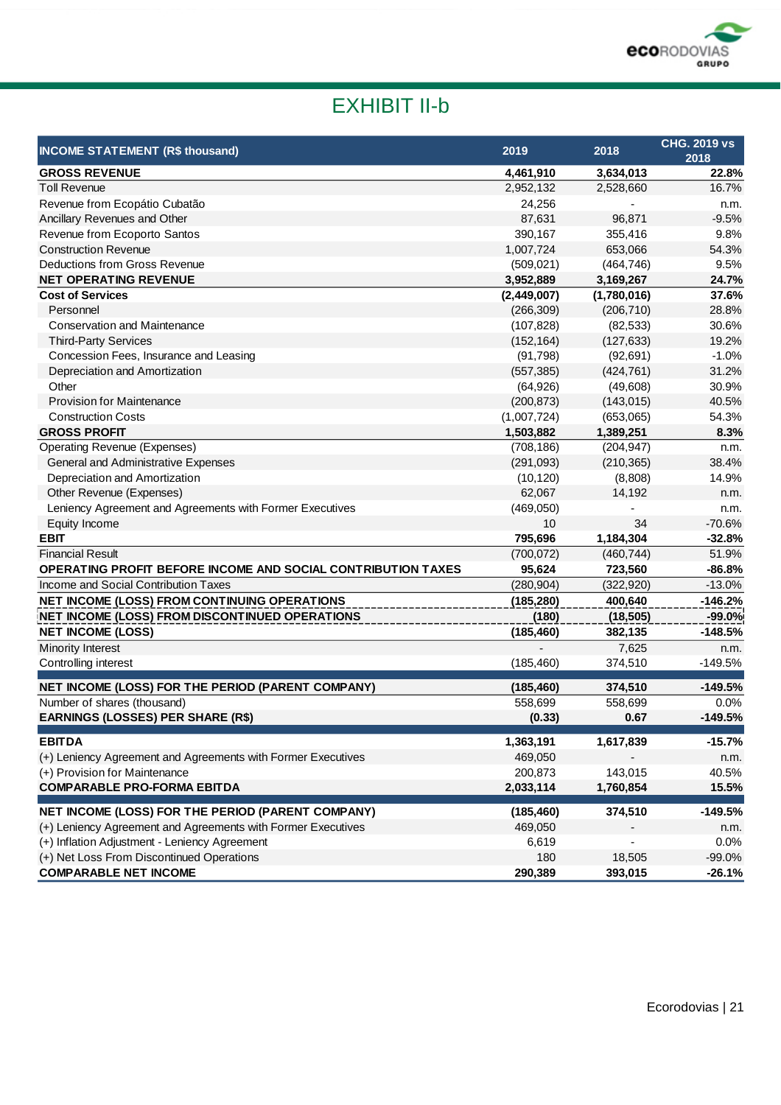

# EXHIBIT II-b

| <b>INCOME STATEMENT (R\$ thousand)</b>                       | 2019        | 2018        | <b>CHG. 2019 vs</b><br>2018 |
|--------------------------------------------------------------|-------------|-------------|-----------------------------|
| <b>GROSS REVENUE</b>                                         | 4,461,910   | 3,634,013   | 22.8%                       |
| <b>Toll Revenue</b>                                          | 2,952,132   | 2,528,660   | 16.7%                       |
| Revenue from Ecopátio Cubatão                                | 24,256      |             | n.m.                        |
| Ancillary Revenues and Other                                 | 87,631      | 96,871      | $-9.5%$                     |
| Revenue from Ecoporto Santos                                 | 390,167     | 355,416     | 9.8%                        |
| <b>Construction Revenue</b>                                  | 1,007,724   | 653,066     | 54.3%                       |
| Deductions from Gross Revenue                                | (509, 021)  | (464, 746)  | 9.5%                        |
| <b>NET OPERATING REVENUE</b>                                 | 3,952,889   | 3,169,267   | 24.7%                       |
| <b>Cost of Services</b>                                      | (2,449,007) | (1,780,016) | 37.6%                       |
| Personnel                                                    | (266, 309)  | (206, 710)  | 28.8%                       |
| <b>Conservation and Maintenance</b>                          | (107, 828)  | (82, 533)   | 30.6%                       |
| <b>Third-Party Services</b>                                  | (152, 164)  | (127, 633)  | 19.2%                       |
| Concession Fees, Insurance and Leasing                       | (91, 798)   | (92, 691)   | $-1.0%$                     |
| Depreciation and Amortization                                | (557, 385)  | (424, 761)  | 31.2%                       |
| Other                                                        | (64, 926)   | (49,608)    | 30.9%                       |
| <b>Provision for Maintenance</b>                             | (200, 873)  | (143, 015)  | 40.5%                       |
| <b>Construction Costs</b>                                    | (1,007,724) | (653,065)   | 54.3%                       |
| <b>GROSS PROFIT</b>                                          | 1,503,882   | 1,389,251   | 8.3%                        |
| <b>Operating Revenue (Expenses)</b>                          | (708, 186)  | (204, 947)  | n.m.                        |
| General and Administrative Expenses                          | (291, 093)  | (210, 365)  | 38.4%                       |
| Depreciation and Amortization                                | (10, 120)   | (8,808)     | 14.9%                       |
| Other Revenue (Expenses)                                     | 62,067      | 14,192      | n.m.                        |
| Leniency Agreement and Agreements with Former Executives     | (469,050)   |             | n.m.                        |
| Equity Income                                                | 10          | 34          | $-70.6%$                    |
| <b>EBIT</b>                                                  | 795,696     | 1,184,304   | $-32.8%$                    |
| <b>Financial Result</b>                                      | (700, 072)  | (460, 744)  | 51.9%                       |
| OPERATING PROFIT BEFORE INCOME AND SOCIAL CONTRIBUTION TAXES | 95,624      | 723,560     | $-86.8%$                    |
| Income and Social Contribution Taxes                         | (280, 904)  | (322, 920)  | $-13.0%$                    |
| NET INCOME (LOSS) FROM CONTINUING OPERATIONS                 | (185, 280)  | 400,640     | $-146.2%$                   |
| NET INCOME (LOSS) FROM DISCONTINUED OPERATIONS               | (180)       | (18, 505)   | $-99.0%$                    |
| <b>NET INCOME (LOSS)</b>                                     | (185, 460)  | 382,135     | $-148.5%$                   |
| Minority Interest                                            |             | 7,625       | n.m.                        |
| Controlling interest                                         | (185, 460)  | 374,510     | $-149.5%$                   |
| NET INCOME (LOSS) FOR THE PERIOD (PARENT COMPANY)            | (185, 460)  | 374,510     | $-149.5%$                   |
| Number of shares (thousand)                                  | 558,699     | 558,699     | 0.0%                        |
| <b>EARNINGS (LOSSES) PER SHARE (R\$)</b>                     | (0.33)      | 0.67        | $-149.5%$                   |
| <b>EBITDA</b>                                                | 1,363,191   | 1,617,839   | $-15.7%$                    |
| (+) Leniency Agreement and Agreements with Former Executives | 469,050     |             | n.m.                        |
| (+) Provision for Maintenance                                | 200,873     | 143,015     | 40.5%                       |
| <b>COMPARABLE PRO-FORMA EBITDA</b>                           | 2,033,114   | 1,760,854   | 15.5%                       |
| NET INCOME (LOSS) FOR THE PERIOD (PARENT COMPANY)            | (185, 460)  | 374,510     | $-149.5%$                   |
| (+) Leniency Agreement and Agreements with Former Executives | 469,050     |             | n.m.                        |
| (+) Inflation Adjustment - Leniency Agreement                | 6,619       |             | 0.0%                        |
| (+) Net Loss From Discontinued Operations                    | 180         | 18,505      | $-99.0%$                    |
| <b>COMPARABLE NET INCOME</b>                                 | 290,389     | 393,015     | $-26.1%$                    |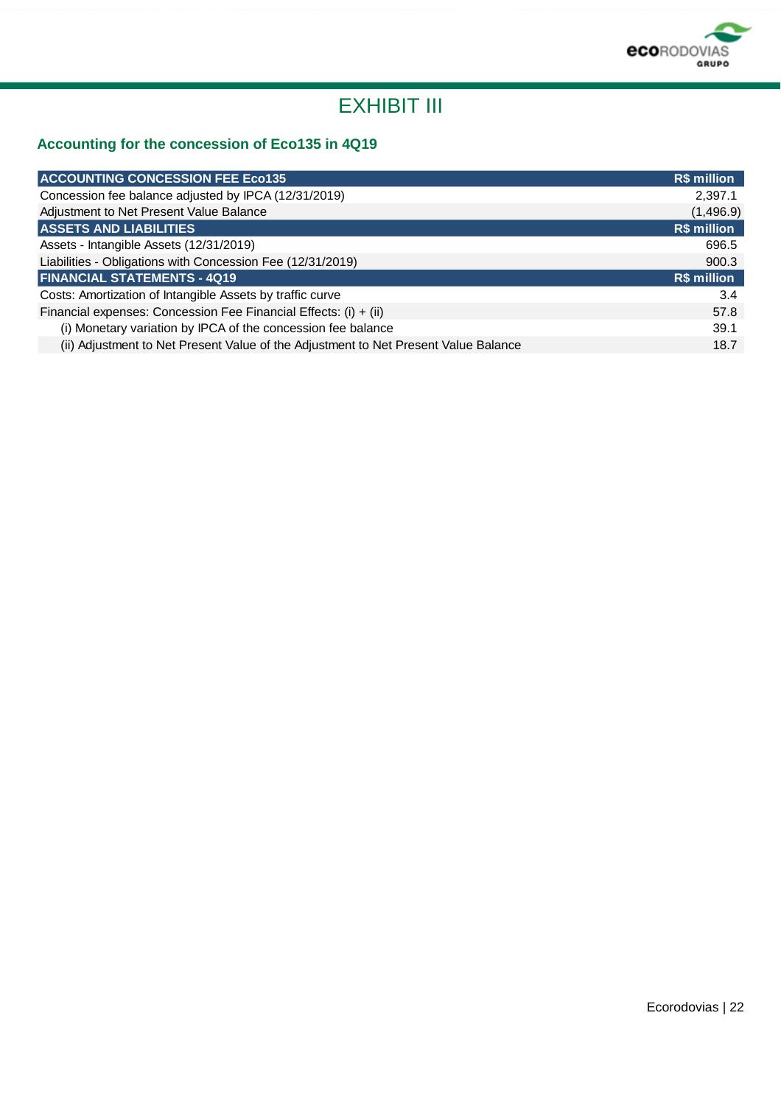

## EXHIBIT III

### **Accounting for the concession of Eco135 in 4Q19**

| R\$ million |
|-------------|
| 2,397.1     |
| (1,496.9)   |
| R\$ million |
| 696.5       |
| 900.3       |
| R\$ million |
| 3.4         |
| 57.8        |
| 39.1        |
| 18.7        |
|             |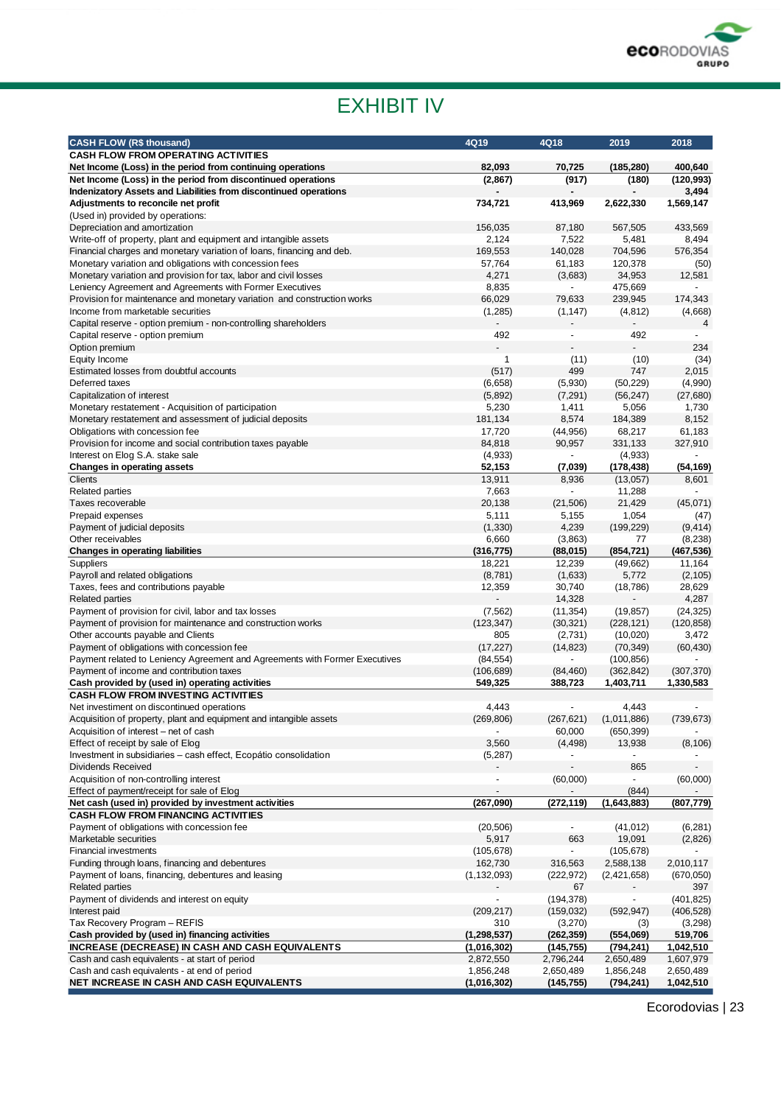

# EXHIBIT IV

| <b>CASH FLOW (R\$ thousand)</b>                                                                                                  | 4Q19              | 4Q18                     | 2019                 | 2018                  |
|----------------------------------------------------------------------------------------------------------------------------------|-------------------|--------------------------|----------------------|-----------------------|
| <b>CASH FLOW FROM OPERATING ACTIVITIES</b>                                                                                       |                   |                          |                      |                       |
| Net Income (Loss) in the period from continuing operations                                                                       | 82,093            | 70,725                   | (185, 280)           | 400,640               |
| Net Income (Loss) in the period from discontinued operations<br>Indenizatory Assets and Liabilities from discontinued operations | (2,867)           | (917)                    | (180)                | (120, 993)<br>3,494   |
| Adjustments to reconcile net profit                                                                                              | 734,721           | 413,969                  | 2,622,330            | 1,569,147             |
| (Used in) provided by operations:                                                                                                |                   |                          |                      |                       |
| Depreciation and amortization                                                                                                    | 156,035           | 87,180                   | 567,505              | 433,569               |
| Write-off of property, plant and equipment and intangible assets                                                                 | 2,124             | 7,522                    | 5,481                | 8,494                 |
| Financial charges and monetary variation of loans, financing and deb.                                                            | 169,553           | 140,028                  | 704,596<br>120,378   | 576,354               |
| Monetary variation and obligations with concession fees<br>Monetary variation and provision for tax, labor and civil losses      | 57,764<br>4,271   | 61,183<br>(3,683)        | 34,953               | (50)<br>12,581        |
| Leniency Agreement and Agreements with Former Executives                                                                         | 8,835             |                          | 475,669              |                       |
| Provision for maintenance and monetary variation and construction works                                                          | 66,029            | 79,633                   | 239,945              | 174,343               |
| Income from marketable securities                                                                                                | (1,285)           | (1, 147)                 | (4, 812)             | (4,668)               |
| Capital reserve - option premium - non-controlling shareholders                                                                  |                   |                          |                      | 4                     |
| Capital reserve - option premium                                                                                                 | 492               | $\overline{\phantom{a}}$ | 492                  |                       |
| Option premium                                                                                                                   |                   |                          |                      | 234                   |
| Equity Income<br>Estimated losses from doubtful accounts                                                                         | 1<br>(517)        | (11)<br>499              | (10)<br>747          | (34)<br>2,015         |
| Deferred taxes                                                                                                                   | (6,658)           | (5,930)                  | (50, 229)            | (4,990)               |
| Capitalization of interest                                                                                                       | (5,892)           | (7, 291)                 | (56, 247)            | (27, 680)             |
| Monetary restatement - Acquisition of participation                                                                              | 5,230             | 1,411                    | 5,056                | 1,730                 |
| Monetary restatement and assessment of judicial deposits                                                                         | 181,134           | 8,574                    | 184,389              | 8,152                 |
| Obligations with concession fee                                                                                                  | 17,720            | (44, 956)                | 68,217               | 61,183                |
| Provision for income and social contribution taxes payable                                                                       | 84,818            | 90,957                   | 331,133              | 327,910               |
| Interest on Elog S.A. stake sale                                                                                                 | (4,933)           |                          | (4,933)              |                       |
| Changes in operating assets                                                                                                      | 52,153            | (7,039)                  | (178, 438)           | (54, 169)             |
| Clients<br><b>Related parties</b>                                                                                                | 13,911<br>7,663   | 8,936                    | (13,057)<br>11,288   | 8,601                 |
| Taxes recoverable                                                                                                                | 20,138            | (21, 506)                | 21,429               | (45,071)              |
| Prepaid expenses                                                                                                                 | 5,111             | 5,155                    | 1,054                | (47)                  |
| Payment of judicial deposits                                                                                                     | (1, 330)          | 4,239                    | (199, 229)           | (9, 414)              |
| Other receivables                                                                                                                | 6,660             | (3,863)                  | 77                   | (8,238)               |
| <b>Changes in operating liabilities</b>                                                                                          | (316, 775)        | (88, 015)                | (854, 721)           | (467, 536)            |
| Suppliers                                                                                                                        | 18,221            | 12,239                   | (49,662)             | 11,164                |
| Payroll and related obligations<br>Taxes, fees and contributions payable                                                         | (8,781)<br>12,359 | (1,633)<br>30,740        | 5,772<br>(18, 786)   | (2, 105)<br>28,629    |
| <b>Related parties</b>                                                                                                           |                   | 14,328                   |                      | 4,287                 |
| Payment of provision for civil, labor and tax losses                                                                             | (7, 562)          | (11, 354)                | (19, 857)            | (24, 325)             |
| Payment of provision for maintenance and construction works                                                                      | (123, 347)        | (30, 321)                | (228, 121)           | (120, 858)            |
| Other accounts payable and Clients                                                                                               | 805               | (2,731)                  | (10,020)             | 3,472                 |
| Payment of obligations with concession fee                                                                                       | (17, 227)         | (14, 823)                | (70, 349)            | (60, 430)             |
| Payment related to Leniency Agreement and Agreements with Former Executives                                                      | (84, 554)         |                          | (100, 856)           |                       |
| Payment of income and contribution taxes                                                                                         | (106, 689)        | (84, 460)                | (362, 842)           | (307, 370)            |
| Cash provided by (used in) operating activities<br><b>CASH FLOW FROM INVESTING ACTIVITIES</b>                                    | 549,325           | 388,723                  | 1,403,711            | 1,330,583             |
| Net investiment on discontinued operations                                                                                       | 4,443             |                          | 4,443                |                       |
| Acquisition of property, plant and equipment and intangible assets                                                               | (269, 806)        | (267, 621)               | (1,011,886)          | (739, 673)            |
| Acquisition of interest – net of cash                                                                                            |                   | 60,000                   | (650, 399)           |                       |
| Effect of receipt by sale of Elog                                                                                                | 3,560             | (4, 498)                 | 13,938               | (8, 106)              |
| Investment in subsidiaries - cash effect, Ecopátio consolidation                                                                 | (5,287)           | $\overline{\phantom{a}}$ |                      |                       |
| <b>Dividends Received</b>                                                                                                        |                   |                          | 865                  |                       |
| Acquisition of non-controlling interest                                                                                          |                   | (60,000)                 |                      | (60,000)              |
| Effect of payment/receipt for sale of Elog<br>Net cash (used in) provided by investment activities                               | (267,090)         | (272, 119)               | (844)<br>(1,643,883) | (807,779)             |
| <b>CASH FLOW FROM FINANCING ACTIVITIES</b>                                                                                       |                   |                          |                      |                       |
| Payment of obligations with concession fee                                                                                       | (20, 506)         |                          | (41, 012)            | (6, 281)              |
| Marketable securities                                                                                                            | 5,917             | 663                      | 19,091               | (2,826)               |
| <b>Financial investments</b>                                                                                                     | (105, 678)        | $\overline{\phantom{a}}$ | (105, 678)           |                       |
| Funding through loans, financing and debentures                                                                                  | 162,730           | 316,563                  | 2,588,138            | 2,010,117             |
| Payment of loans, financing, debentures and leasing                                                                              | (1, 132, 093)     | (222, 972)               | (2,421,658)          | (670, 050)            |
| <b>Related parties</b>                                                                                                           |                   | 67                       |                      | 397                   |
| Payment of dividends and interest on equity                                                                                      |                   | (194, 378)               |                      | (401, 825)            |
| Interest paid<br>Tax Recovery Program - REFIS                                                                                    | (209, 217)<br>310 | (159, 032)<br>(3,270)    | (592, 947)<br>(3)    | (406, 528)<br>(3,298) |
| Cash provided by (used in) financing activities                                                                                  | (1, 298, 537)     | (262, 359)               | (554,069)            | 519,706               |
| INCREASE (DECREASE) IN CASH AND CASH EQUIVALENTS                                                                                 | (1,016,302)       | (145, 755)               | (794, 241)           | 1,042,510             |
| Cash and cash equivalents - at start of period                                                                                   | 2,872,550         | 2,796,244                | 2,650,489            | 1,607,979             |
| Cash and cash equivalents - at end of period                                                                                     | 1,856,248         | 2,650,489                | 1,856,248            | 2,650,489             |
| NET INCREASE IN CASH AND CASH EQUIVALENTS                                                                                        | (1,016,302)       | (145, 755)               | (794, 241)           | 1,042,510             |

Ecorodovias | 23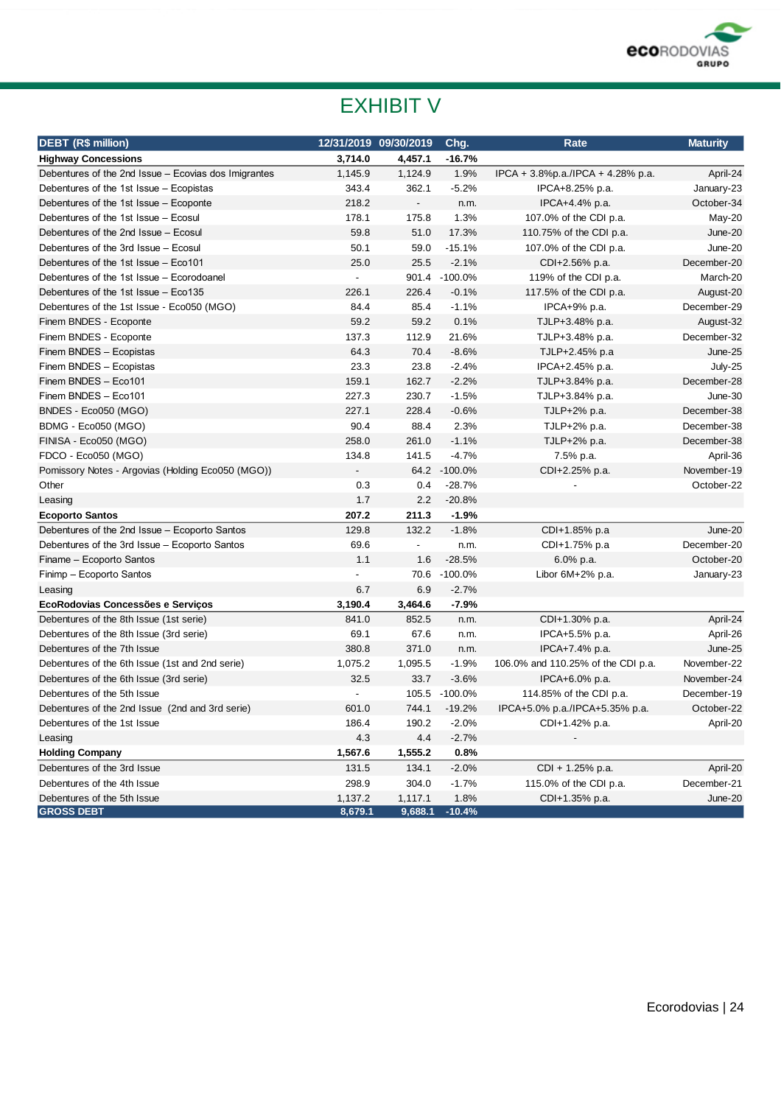

# EXHIBIT V

| <b>DEBT (R\$ million)</b>                            |                | 12/31/2019 09/30/2019    | Chg.          | Rate                               | <b>Maturity</b> |
|------------------------------------------------------|----------------|--------------------------|---------------|------------------------------------|-----------------|
| <b>Highway Concessions</b>                           | 3,714.0        | 4,457.1                  | $-16.7%$      |                                    |                 |
| Debentures of the 2nd Issue - Ecovias dos Imigrantes | 1,145.9        | 1,124.9                  | 1.9%          | IPCA + 3.8%p.a./IPCA + 4.28% p.a.  | April-24        |
| Debentures of the 1st Issue - Ecopistas              | 343.4          | 362.1                    | $-5.2%$       | IPCA+8.25% p.a.                    | January-23      |
| Debentures of the 1st Issue - Ecoponte               | 218.2          | $\overline{\phantom{a}}$ | n.m.          | IPCA+4.4% p.a.                     | October-34      |
| Debentures of the 1st Issue - Ecosul                 | 178.1          | 175.8                    | 1.3%          | 107.0% of the CDI p.a.             | May-20          |
| Debentures of the 2nd Issue - Ecosul                 | 59.8           | 51.0                     | 17.3%         | 110.75% of the CDI p.a.            | June-20         |
| Debentures of the 3rd Issue - Ecosul                 | 50.1           | 59.0                     | $-15.1%$      | 107.0% of the CDI p.a.             | June-20         |
| Debentures of the 1st Issue - Eco101                 | 25.0           | 25.5                     | $-2.1%$       | CDI+2.56% p.a.                     | December-20     |
| Debentures of the 1st Issue - Ecorodoanel            | $\blacksquare$ |                          | 901.4 -100.0% | 119% of the CDI p.a.               | March-20        |
| Debentures of the 1st Issue - Eco135                 | 226.1          | 226.4                    | $-0.1%$       | 117.5% of the CDI p.a.             | August-20       |
| Debentures of the 1st Issue - Eco050 (MGO)           | 84.4           | 85.4                     | $-1.1%$       | IPCA+9% p.a.                       | December-29     |
| Finem BNDES - Ecoponte                               | 59.2           | 59.2                     | 0.1%          | TJLP+3.48% p.a.                    | August-32       |
| Finem BNDES - Ecoponte                               | 137.3          | 112.9                    | 21.6%         | TJLP+3.48% p.a.                    | December-32     |
| Finem BNDES - Ecopistas                              | 64.3           | 70.4                     | $-8.6%$       | TJLP+2.45% p.a                     | June-25         |
| Finem BNDES - Ecopistas                              | 23.3           | 23.8                     | $-2.4%$       | IPCA+2.45% p.a.                    | July-25         |
| Finem BNDES - Eco101                                 | 159.1          | 162.7                    | $-2.2%$       | TJLP+3.84% p.a.                    | December-28     |
| Finem BNDES - Eco101                                 | 227.3          | 230.7                    | $-1.5%$       | TJLP+3.84% p.a.                    | June-30         |
| BNDES - Eco050 (MGO)                                 | 227.1          | 228.4                    | $-0.6%$       | TJLP+2% p.a.                       | December-38     |
| BDMG - Eco050 (MGO)                                  | 90.4           | 88.4                     | 2.3%          | TJLP+2% p.a.                       | December-38     |
| FINISA - Eco050 (MGO)                                | 258.0          | 261.0                    | $-1.1%$       | TJLP+2% p.a.                       | December-38     |
| FDCO - Eco050 (MGO)                                  | 134.8          | 141.5                    | $-4.7%$       | 7.5% p.a.                          | April-36        |
| Pomissory Notes - Argovias (Holding Eco050 (MGO))    |                |                          | 64.2 -100.0%  | CDI+2.25% p.a.                     | November-19     |
| Other                                                | 0.3            | 0.4                      | $-28.7%$      |                                    | October-22      |
| Leasing                                              | 1.7            | 2.2                      | $-20.8%$      |                                    |                 |
| <b>Ecoporto Santos</b>                               | 207.2          | 211.3                    | $-1.9%$       |                                    |                 |
| Debentures of the 2nd Issue - Ecoporto Santos        | 129.8          | 132.2                    | $-1.8%$       | CDI+1.85% p.a                      | June-20         |
| Debentures of the 3rd Issue - Ecoporto Santos        | 69.6           | $\blacksquare$           | n.m.          | CDI+1.75% p.a                      | December-20     |
| Finame - Ecoporto Santos                             | 1.1            | 1.6                      | $-28.5%$      | 6.0% p.a.                          | October-20      |
| Finimp - Ecoporto Santos                             |                |                          | 70.6 -100.0%  | Libor $6M+2\%$ p.a.                | January-23      |
| Leasing                                              | 6.7            | 6.9                      | $-2.7%$       |                                    |                 |
| EcoRodovias Concessões e Servicos                    | 3,190.4        | 3,464.6                  | $-7.9%$       |                                    |                 |
| Debentures of the 8th Issue (1st serie)              | 841.0          | 852.5                    | n.m.          | CDI+1.30% p.a.                     | April-24        |
| Debentures of the 8th Issue (3rd serie)              | 69.1           | 67.6                     | n.m.          | IPCA+5.5% p.a.                     | April-26        |
| Debentures of the 7th Issue                          | 380.8          | 371.0                    | n.m.          | IPCA+7.4% p.a.                     | June-25         |
| Debentures of the 6th Issue (1st and 2nd serie)      | 1,075.2        | 1,095.5                  | $-1.9%$       | 106.0% and 110.25% of the CDI p.a. | November-22     |
| Debentures of the 6th Issue (3rd serie)              | 32.5           | 33.7                     | $-3.6%$       | IPCA+6.0% p.a.                     | November-24     |
| Debentures of the 5th Issue                          | $\blacksquare$ |                          | 105.5 -100.0% | 114.85% of the CDI p.a.            | December-19     |
| Debentures of the 2nd Issue (2nd and 3rd serie)      | 601.0          | 744.1                    | $-19.2%$      | IPCA+5.0% p.a./IPCA+5.35% p.a.     | October-22      |
| Debentures of the 1st Issue                          | 186.4          | 190.2                    | $-2.0%$       | CDI+1.42% p.a.                     | April-20        |
| Leasing                                              | 4.3            | 4.4                      | $-2.7%$       |                                    |                 |
| <b>Holding Company</b>                               | 1,567.6        | 1,555.2                  | 0.8%          |                                    |                 |
| Debentures of the 3rd Issue                          | 131.5          | 134.1                    | $-2.0%$       | CDI + 1.25% p.a.                   | April-20        |
| Debentures of the 4th Issue                          | 298.9          | 304.0                    | $-1.7%$       | 115.0% of the CDI p.a.             | December-21     |
| Debentures of the 5th Issue                          | 1,137.2        | 1,117.1                  | 1.8%          | CDI+1.35% p.a.                     | June-20         |
| <b>GROSS DEBT</b>                                    | 8,679.1        | 9,688.1                  | $-10.4%$      |                                    |                 |